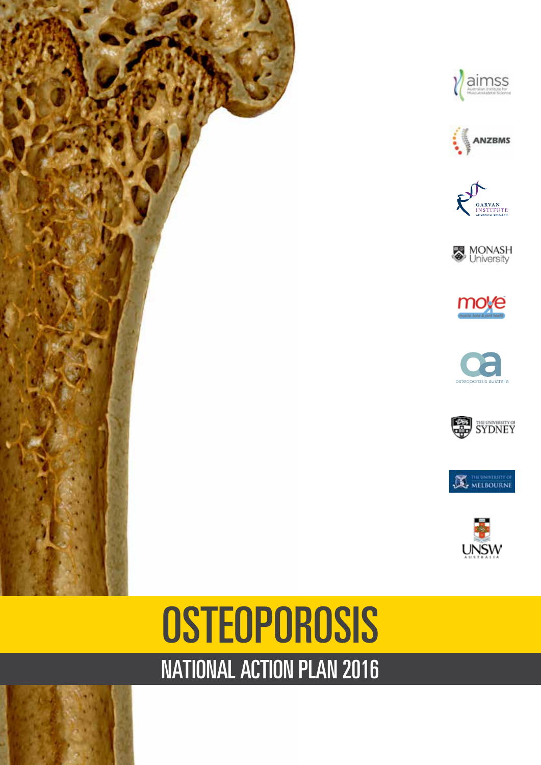



















# NATIONAL ACTION PLAN 2016 **OSTEOPOROSIS**

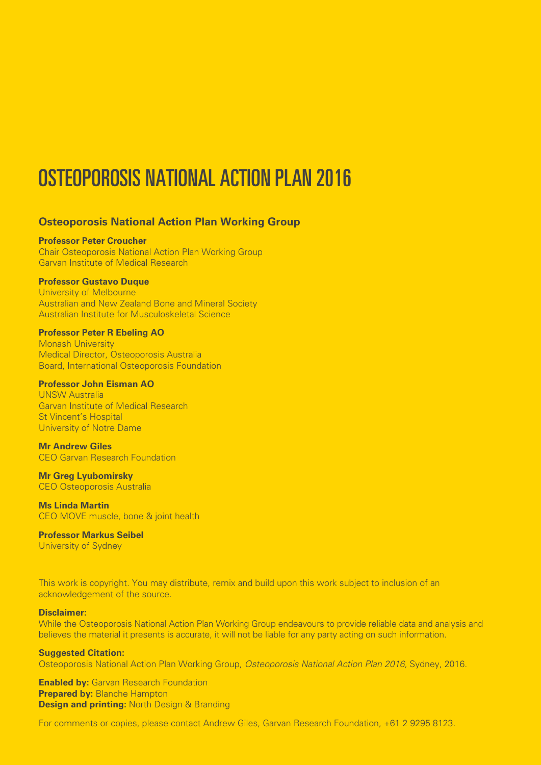### OSTEOPOROSIS NATIONAL ACTION PLAN 2016

#### **Osteoporosis National Action Plan Working Group**

#### **Professor Peter Croucher**

Chair Osteoporosis National Action Plan Working Group Garvan Institute of Medical Research

#### **Professor Gustavo Duque**

University of Melbourne Australian and New Zealand Bone and Mineral Society Australian Institute for Musculoskeletal Science

#### **Professor Peter R Ebeling AO**

Monash University Medical Director, Osteoporosis Australia Board, International Osteoporosis Foundation

#### **Professor John Eisman AO**

UNSW Australia Garvan Institute of Medical Research St Vincent's Hospital University of Notre Dame

**Mr Andrew Giles** CEO Garvan Research Foundation

#### **Mr Greg Lyubomirsky**

CEO Osteoporosis Australia

**Ms Linda Martin** CEO MOVE muscle, bone & joint health

#### **Professor Markus Seibel**

University of Sydney

This work is copyright. You may distribute, remix and build upon this work subject to inclusion of an acknowledgement of the source.

#### **Disclaimer:**

While the Osteoporosis National Action Plan Working Group endeavours to provide reliable data and analysis and believes the material it presents is accurate, it will not be liable for any party acting on such information.

#### **Suggested Citation:**

Osteoporosis National Action Plan Working Group, *Osteoporosis National Action Plan 2016,* Sydney, 2016.

**Enabled by:** Garvan Research Foundation **Prepared by: Blanche Hampton Design and printing:** North Design & Branding

For comments or copies, please contact Andrew Giles, Garvan Research Foundation, +61 2 9295 8123.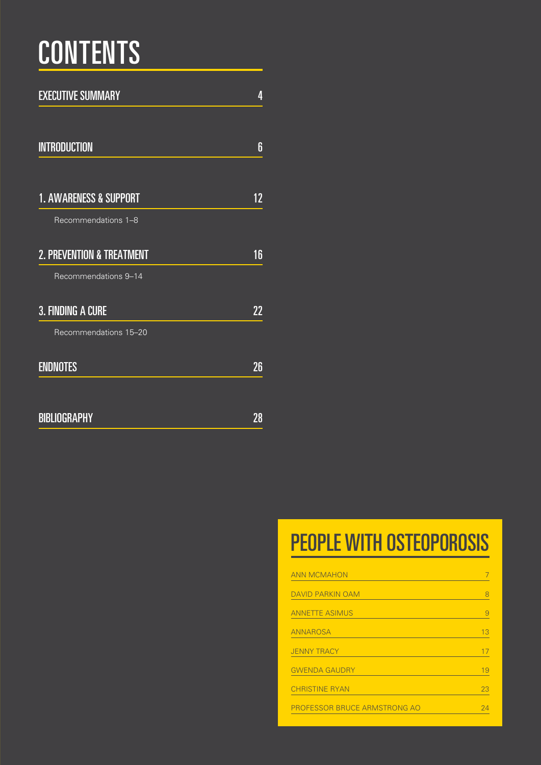## **CONTENTS**

| <b>EXECUTIVE SUMMARY</b>             | 4  |
|--------------------------------------|----|
| <b>INTRODUCTION</b>                  | 6  |
| <b>1. AWARENESS &amp; SUPPORT</b>    | 12 |
| Recommendations 1-8                  |    |
| <b>2. PREVENTION &amp; TREATMENT</b> | 16 |
| Recommendations 9-14                 |    |
| <b>3. FINDING A CURE</b>             | 22 |
| Recommendations 15-20                |    |
| <b>ENDNOTES</b>                      | 26 |
| <b>BIBLIOGRAPHY</b>                  | 28 |

### PEOPLE WITH OSTEOPOROSIS

| <b>ANN MCMAHON</b>           |    |
|------------------------------|----|
| DAVID PARKIN OAM             | 8  |
| <b>ANNETTE ASIMUS</b>        | 9  |
| <b>ANNAROSA</b>              | 13 |
| <b>JENNY TRACY</b>           | 17 |
| <b>GWENDA GAUDRY</b>         | 19 |
| <b>CHRISTINE RYAN</b>        | 23 |
| PROFESSOR BRUCE ARMSTRONG AO | 24 |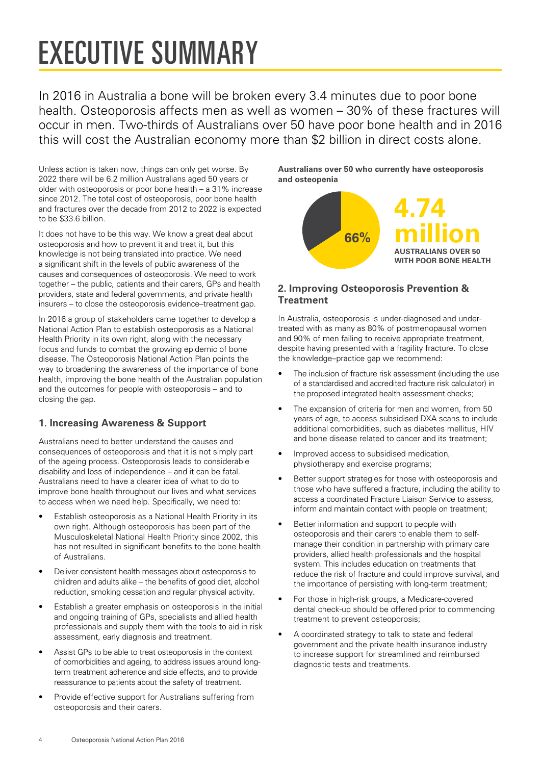## EXECUTIVE SUMMARY

In 2016 in Australia a bone will be broken every 3.4 minutes due to poor bone health. Osteoporosis affects men as well as women – 30% of these fractures will occur in men. Two-thirds of Australians over 50 have poor bone health and in 2016 this will cost the Australian economy more than \$2 billion in direct costs alone.

Unless action is taken now, things can only get worse. By 2022 there will be 6.2 million Australians aged 50 years or older with osteoporosis or poor bone health – a 31% increase since 2012. The total cost of osteoporosis, poor bone health and fractures over the decade from 2012 to 2022 is expected to be \$33.6 billion.

It does not have to be this way. We know a great deal about osteoporosis and how to prevent it and treat it, but this knowledge is not being translated into practice. We need a significant shift in the levels of public awareness of the causes and consequences of osteoporosis. We need to work together – the public, patients and their carers, GPs and health providers, state and federal governments, and private health insurers – to close the osteoporosis evidence–treatment gap.

In 2016 a group of stakeholders came together to develop a National Action Plan to establish osteoporosis as a National Health Priority in its own right, along with the necessary focus and funds to combat the growing epidemic of bone disease. The Osteoporosis National Action Plan points the way to broadening the awareness of the importance of bone health, improving the bone health of the Australian population and the outcomes for people with osteoporosis – and to closing the gap.

#### **1. Increasing Awareness & Support**

Australians need to better understand the causes and consequences of osteoporosis and that it is not simply part of the ageing process. Osteoporosis leads to considerable disability and loss of independence – and it can be fatal. Australians need to have a clearer idea of what to do to improve bone health throughout our lives and what services to access when we need help. Specifically, we need to:

- Establish osteoporosis as a National Health Priority in its own right. Although osteoporosis has been part of the Musculoskeletal National Health Priority since 2002, this has not resulted in significant benefits to the bone health of Australians.
- Deliver consistent health messages about osteoporosis to children and adults alike – the benefits of good diet, alcohol reduction, smoking cessation and regular physical activity.
- Establish a greater emphasis on osteoporosis in the initial and ongoing training of GPs, specialists and allied health professionals and supply them with the tools to aid in risk assessment, early diagnosis and treatment.
- Assist GPs to be able to treat osteoporosis in the context of comorbidities and ageing, to address issues around longterm treatment adherence and side effects, and to provide reassurance to patients about the safety of treatment.
- Provide effective support for Australians suffering from osteoporosis and their carers.

Australians over 50 who currently have osteoporosis **and osteopenia**



#### **2. Improving Osteoporosis Prevention &**  \$0m **Treatment**

In Australia, osteoporosis is under-diagnosed and undertreated with as many as 80% of postmenopausal women and 90% of men failing to receive appropriate treatment, despite having presented with a fragility fracture. To close the knowledge–practice gap we recommend:

- The inclusion of fracture risk assessment (including the use of a standardised and accredited fracture risk calculator) in the proposed integrated health assessment checks;
- The expansion of criteria for men and women, from 50 years of age, to access subsidised DXA scans to include additional comorbidities, such as diabetes mellitus, HIV and bone disease related to cancer and its treatment;
- Improved access to subsidised medication. physiotherapy and exercise programs;
- Better support strategies for those with osteoporosis and those who have suffered a fracture, including the ability to access a coordinated Fracture Liaison Service to assess, inform and maintain contact with people on treatment;
- Better information and support to people with osteoporosis and their carers to enable them to selfmanage their condition in partnership with primary care providers, allied health professionals and the hospital system. This includes education on treatments that reduce the risk of fracture and could improve survival, and the importance of persisting with long-term treatment;
- For those in high-risk groups, a Medicare-covered dental check-up should be offered prior to commencing treatment to prevent osteoporosis;
- A coordinated strategy to talk to state and federal government and the private health insurance industry to increase support for streamlined and reimbursed diagnostic tests and treatments.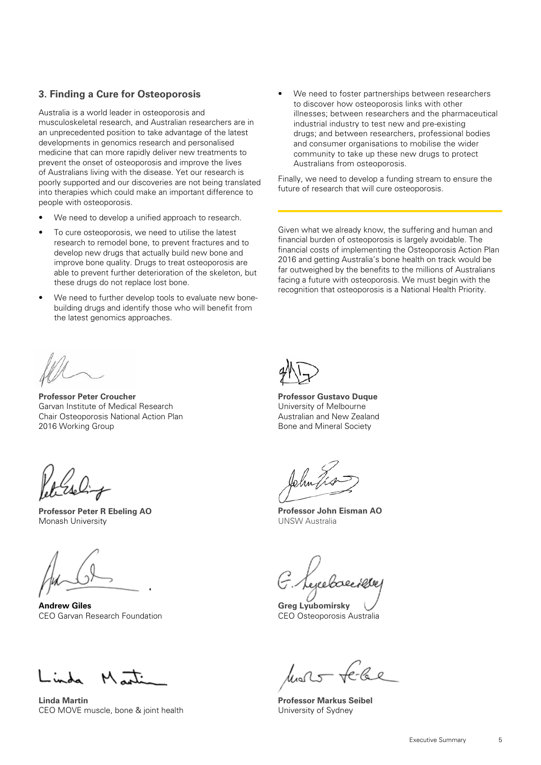#### **3. Finding a Cure for Osteoporosis**

Australia is a world leader in osteoporosis and musculoskeletal research, and Australian researchers are in an unprecedented position to take advantage of the latest developments in genomics research and personalised medicine that can more rapidly deliver new treatments to prevent the onset of osteoporosis and improve the lives of Australians living with the disease. Yet our research is poorly supported and our discoveries are not being translated into therapies which could make an important difference to people with osteoporosis.

- We need to develop a unified approach to research.
- To cure osteoporosis, we need to utilise the latest research to remodel bone, to prevent fractures and to develop new drugs that actually build new bone and improve bone quality. Drugs to treat osteoporosis are able to prevent further deterioration of the skeleton, but these drugs do not replace lost bone.
- We need to further develop tools to evaluate new bonebuilding drugs and identify those who will benefit from the latest genomics approaches.

**Professor Peter Croucher** Garvan Institute of Medical Research Chair Osteoporosis National Action Plan 2016 Working Group

**Professor Peter R Ebeling AO** Monash University

**Andrew Giles** CEO Garvan Research Foundation

**Linda Martin** CEO MOVE muscle, bone & joint health

We need to foster partnerships between researchers to discover how osteoporosis links with other illnesses; between researchers and the pharmaceutical industrial industry to test new and pre-existing drugs; and between researchers, professional bodies and consumer organisations to mobilise the wider community to take up these new drugs to protect Australians from osteoporosis.

Finally, we need to develop a funding stream to ensure the future of research that will cure osteoporosis.

Given what we already know, the suffering and human and financial burden of osteoporosis is largely avoidable. The financial costs of implementing the Osteoporosis Action Plan 2016 and getting Australia's bone health on track would be far outweighed by the benefits to the millions of Australians facing a future with osteoporosis. We must begin with the recognition that osteoporosis is a National Health Priority.

**Professor Gustavo Duque** University of Melbourne Australian and New Zealand Bone and Mineral Society

**Professor John Eisman AO** UNSW Australia

**Greg Lyubomirsky** CEO Osteoporosis Australia

hort fele

**Professor Markus Seibel** University of Sydney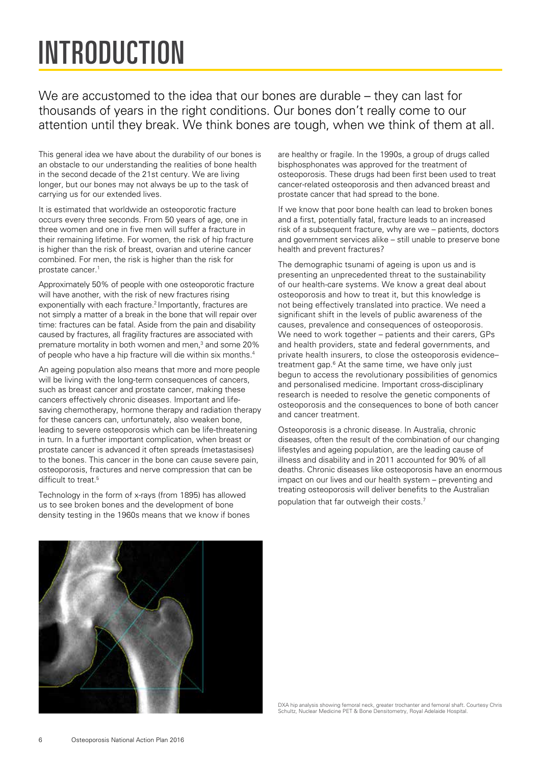## **INTRODUCTION**

We are accustomed to the idea that our bones are durable – they can last for thousands of years in the right conditions. Our bones don't really come to our attention until they break. We think bones are tough, when we think of them at all.

This general idea we have about the durability of our bones is an obstacle to our understanding the realities of bone health in the second decade of the 21st century. We are living longer, but our bones may not always be up to the task of carrying us for our extended lives.

It is estimated that worldwide an osteoporotic fracture occurs every three seconds. From 50 years of age, one in three women and one in five men will suffer a fracture in their remaining lifetime. For women, the risk of hip fracture is higher than the risk of breast, ovarian and uterine cancer combined. For men, the risk is higher than the risk for prostate cancer.<sup>1</sup>

Approximately 50% of people with one osteoporotic fracture will have another, with the risk of new fractures rising exponentially with each fracture.<sup>2</sup> Importantly, fractures are not simply a matter of a break in the bone that will repair over time: fractures can be fatal. Aside from the pain and disability caused by fractures, all fragility fractures are associated with premature mortality in both women and men,<sup>3</sup> and some 20% of people who have a hip fracture will die within six months.<sup>4</sup>

An ageing population also means that more and more people will be living with the long-term consequences of cancers, such as breast cancer and prostate cancer, making these cancers effectively chronic diseases. Important and lifesaving chemotherapy, hormone therapy and radiation therapy for these cancers can, unfortunately, also weaken bone, leading to severe osteoporosis which can be life-threatening in turn. In a further important complication, when breast or prostate cancer is advanced it often spreads (metastasises) to the bones. This cancer in the bone can cause severe pain, osteoporosis, fractures and nerve compression that can be difficult to treat.<sup>5</sup>

Technology in the form of x-rays (from 1895) has allowed us to see broken bones and the development of bone density testing in the 1960s means that we know if bones are healthy or fragile. In the 1990s, a group of drugs called bisphosphonates was approved for the treatment of osteoporosis. These drugs had been first been used to treat cancer-related osteoporosis and then advanced breast and prostate cancer that had spread to the bone.

If we know that poor bone health can lead to broken bones and a first, potentially fatal, fracture leads to an increased risk of a subsequent fracture, why are we – patients, doctors and government services alike – still unable to preserve bone health and prevent fractures?

The demographic tsunami of ageing is upon us and is presenting an unprecedented threat to the sustainability of our health-care systems. We know a great deal about osteoporosis and how to treat it, but this knowledge is not being effectively translated into practice. We need a significant shift in the levels of public awareness of the causes, prevalence and consequences of osteoporosis. We need to work together – patients and their carers, GPs and health providers, state and federal governments, and private health insurers, to close the osteoporosis evidence– treatment gap.6 At the same time, we have only just begun to access the revolutionary possibilities of genomics and personalised medicine. Important cross-disciplinary research is needed to resolve the genetic components of osteoporosis and the consequences to bone of both cancer and cancer treatment.

Osteoporosis is a chronic disease. In Australia, chronic diseases, often the result of the combination of our changing lifestyles and ageing population, are the leading cause of illness and disability and in 2011 accounted for 90% of all deaths. Chronic diseases like osteoporosis have an enormous impact on our lives and our health system – preventing and treating osteoporosis will deliver benefits to the Australian population that far outweigh their costs.7



DXA hip analysis showing femoral neck, greater trochanter and femoral shaft. Courtesy Chris Schultz, Nuclear Medicine PET & Bone Densitometry, Royal Adelaide Hospital.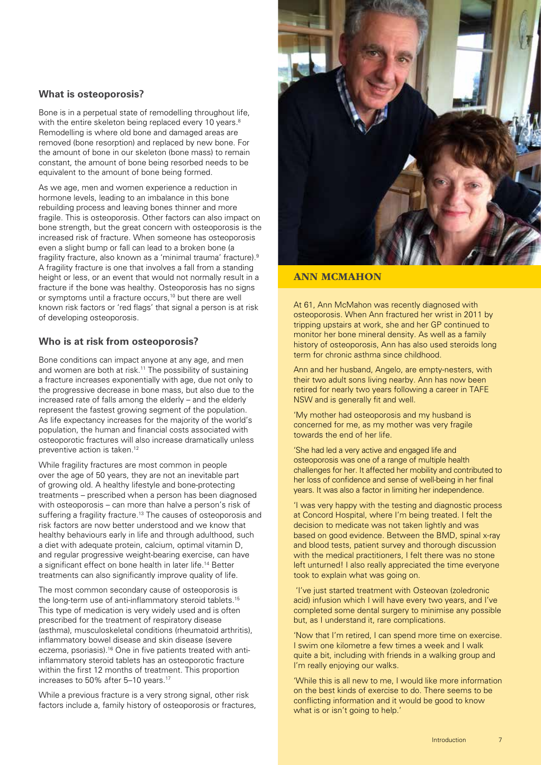#### **What is osteoporosis?**

Bone is in a perpetual state of remodelling throughout life, with the entire skeleton being replaced every 10 years.<sup>8</sup> Remodelling is where old bone and damaged areas are removed (bone resorption) and replaced by new bone. For the amount of bone in our skeleton (bone mass) to remain constant, the amount of bone being resorbed needs to be equivalent to the amount of bone being formed.

As we age, men and women experience a reduction in hormone levels, leading to an imbalance in this bone rebuilding process and leaving bones thinner and more fragile. This is osteoporosis. Other factors can also impact on bone strength, but the great concern with osteoporosis is the increased risk of fracture. When someone has osteoporosis even a slight bump or fall can lead to a broken bone (a fragility fracture, also known as a 'minimal trauma' fracture).9 A fragility fracture is one that involves a fall from a standing height or less, or an event that would not normally result in a fracture if the bone was healthy. Osteoporosis has no signs or symptoms until a fracture occurs,<sup>10</sup> but there are well known risk factors or 'red flags' that signal a person is at risk of developing osteoporosis.

#### **Who is at risk from osteoporosis?**

Bone conditions can impact anyone at any age, and men and women are both at risk.<sup>11</sup> The possibility of sustaining a fracture increases exponentially with age, due not only to the progressive decrease in bone mass, but also due to the increased rate of falls among the elderly – and the elderly represent the fastest growing segment of the population. As life expectancy increases for the majority of the world's population, the human and financial costs associated with osteoporotic fractures will also increase dramatically unless preventive action is taken.<sup>12</sup>

While fragility fractures are most common in people over the age of 50 years, they are not an inevitable part of growing old. A healthy lifestyle and bone-protecting treatments – prescribed when a person has been diagnosed with osteoporosis – can more than halve a person's risk of suffering a fragility fracture.<sup>13</sup> The causes of osteoporosis and risk factors are now better understood and we know that healthy behaviours early in life and through adulthood, such a diet with adequate protein, calcium, optimal vitamin D, and regular progressive weight-bearing exercise, can have a significant effect on bone health in later life.14 Better treatments can also significantly improve quality of life.

The most common secondary cause of osteoporosis is the long-term use of anti-inflammatory steroid tablets.15 This type of medication is very widely used and is often prescribed for the treatment of respiratory disease (asthma), musculoskeletal conditions (rheumatoid arthritis), inflammatory bowel disease and skin disease (severe eczema, psoriasis).<sup>16</sup> One in five patients treated with antiinflammatory steroid tablets has an osteoporotic fracture within the first 12 months of treatment. This proportion increases to 50% after 5-10 years.<sup>17</sup>

While a previous fracture is a very strong signal, other risk factors include a, family history of osteoporosis or fractures,



#### ANN MCMAHON

At 61, Ann McMahon was recently diagnosed with osteoporosis. When Ann fractured her wrist in 2011 by tripping upstairs at work, she and her GP continued to monitor her bone mineral density. As well as a family history of osteoporosis, Ann has also used steroids long term for chronic asthma since childhood.

Ann and her husband, Angelo, are empty-nesters, with their two adult sons living nearby. Ann has now been retired for nearly two years following a career in TAFE NSW and is generally fit and well.

'My mother had osteoporosis and my husband is concerned for me, as my mother was very fragile towards the end of her life.

'She had led a very active and engaged life and osteoporosis was one of a range of multiple health challenges for her. It affected her mobility and contributed to her loss of confidence and sense of well-being in her final years. It was also a factor in limiting her independence.

'I was very happy with the testing and diagnostic process at Concord Hospital, where I'm being treated. I felt the decision to medicate was not taken lightly and was based on good evidence. Between the BMD, spinal x-ray and blood tests, patient survey and thorough discussion with the medical practitioners, I felt there was no stone left unturned! I also really appreciated the time everyone took to explain what was going on.

 'I've just started treatment with Osteovan (zoledronic acid) infusion which I will have every two years, and I've completed some dental surgery to minimise any possible but, as I understand it, rare complications.

'Now that I'm retired, I can spend more time on exercise. I swim one kilometre a few times a week and I walk quite a bit, including with friends in a walking group and I'm really enjoying our walks.

'While this is all new to me, I would like more information on the best kinds of exercise to do. There seems to be conflicting information and it would be good to know what is or isn't going to help.'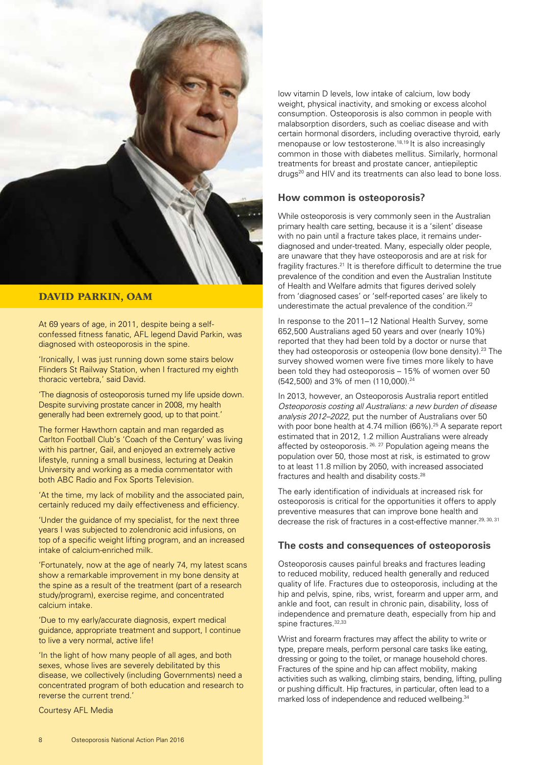

#### DAVID PARKIN, OAM

At 69 years of age, in 2011, despite being a selfconfessed fitness fanatic, AFL legend David Parkin, was diagnosed with osteoporosis in the spine.

'Ironically, I was just running down some stairs below Flinders St Railway Station, when I fractured my eighth thoracic vertebra,' said David.

'The diagnosis of osteoporosis turned my life upside down. Despite surviving prostate cancer in 2008, my health generally had been extremely good, up to that point.'

The former Hawthorn captain and man regarded as Carlton Football Club's 'Coach of the Century' was living with his partner, Gail, and enjoyed an extremely active lifestyle, running a small business, lecturing at Deakin University and working as a media commentator with both ABC Radio and Fox Sports Television.

'At the time, my lack of mobility and the associated pain, certainly reduced my daily effectiveness and efficiency.

'Under the guidance of my specialist, for the next three years I was subjected to zolendronic acid infusions, on top of a specific weight lifting program, and an increased intake of calcium-enriched milk.

'Fortunately, now at the age of nearly 74, my latest scans show a remarkable improvement in my bone density at the spine as a result of the treatment (part of a research study/program), exercise regime, and concentrated calcium intake.

'Due to my early/accurate diagnosis, expert medical guidance, appropriate treatment and support, I continue to live a very normal, active life!

'In the light of how many people of all ages, and both sexes, whose lives are severely debilitated by this disease, we collectively (including Governments) need a concentrated program of both education and research to reverse the current trend.'

Courtesy AFL Media

low vitamin D levels, low intake of calcium, low body weight, physical inactivity, and smoking or excess alcohol consumption. Osteoporosis is also common in people with malabsorption disorders, such as coeliac disease and with certain hormonal disorders, including overactive thyroid, early menopause or low testosterone.18,19 It is also increasingly common in those with diabetes mellitus. Similarly, hormonal treatments for breast and prostate cancer, antiepileptic drugs<sup>20</sup> and HIV and its treatments can also lead to bone loss.

#### **How common is osteoporosis?**

While osteoporosis is very commonly seen in the Australian primary health care setting, because it is a 'silent' disease with no pain until a fracture takes place, it remains underdiagnosed and under-treated. Many, especially older people, are unaware that they have osteoporosis and are at risk for fragility fractures.21 It is therefore difficult to determine the true prevalence of the condition and even the Australian Institute of Health and Welfare admits that figures derived solely from 'diagnosed cases' or 'self-reported cases' are likely to underestimate the actual prevalence of the condition.<sup>22</sup>

In response to the 2011–12 National Health Survey, some 652,500 Australians aged 50 years and over (nearly 10%) reported that they had been told by a doctor or nurse that they had osteoporosis or osteopenia (low bone density).<sup>23</sup> The survey showed women were five times more likely to have been told they had osteoporosis – 15% of women over 50 (542,500) and 3% of men (110,000).<sup>24</sup>

In 2013, however, an Osteoporosis Australia report entitled *Osteoporosis costing all Australians: a new burden of disease analysis 2012–2022*, put the number of Australians over 50 with poor bone health at 4.74 million (66%).<sup>25</sup> A separate report estimated that in 2012, 1.2 million Australians were already affected by osteoporosis. <sup>26, 27</sup> Population ageing means the population over 50, those most at risk, is estimated to grow to at least 11.8 million by 2050, with increased associated fractures and health and disability costs.28

The early identification of individuals at increased risk for osteoporosis is critical for the opportunities it offers to apply preventive measures that can improve bone health and decrease the risk of fractures in a cost-effective manner.<sup>29, 30, 31</sup>

#### **The costs and consequences of osteoporosis**

Osteoporosis causes painful breaks and fractures leading to reduced mobility, reduced health generally and reduced quality of life. Fractures due to osteoporosis, including at the hip and pelvis, spine, ribs, wrist, forearm and upper arm, and ankle and foot, can result in chronic pain, disability, loss of independence and premature death, especially from hip and spine fractures.<sup>32,33</sup>

Wrist and forearm fractures may affect the ability to write or type, prepare meals, perform personal care tasks like eating, dressing or going to the toilet, or manage household chores. Fractures of the spine and hip can affect mobility, making activities such as walking, climbing stairs, bending, lifting, pulling or pushing difficult. Hip fractures, in particular, often lead to a marked loss of independence and reduced wellbeing.<sup>34</sup>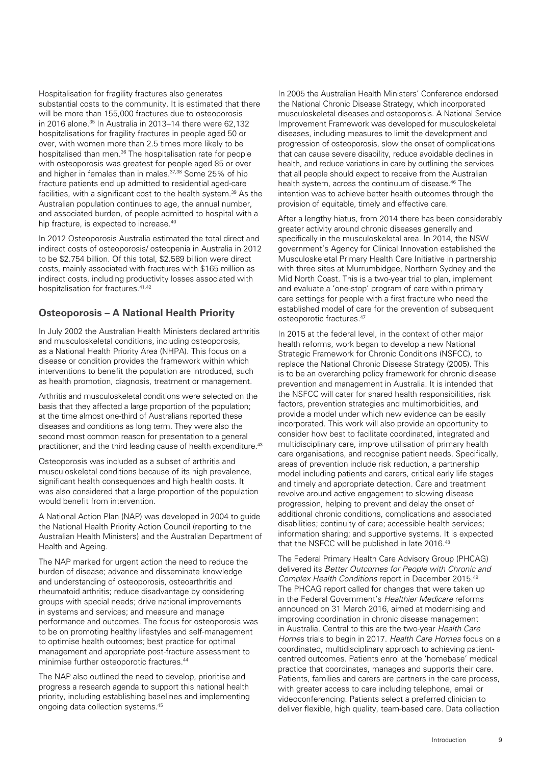Hospitalisation for fragility fractures also generates substantial costs to the community. It is estimated that there will be more than 155,000 fractures due to osteoporosis in 2016 alone.<sup>35</sup> In Australia in 2013-14 there were 62,132 hospitalisations for fragility fractures in people aged 50 or over, with women more than 2.5 times more likely to be hospitalised than men.36 The hospitalisation rate for people with osteoporosis was greatest for people aged 85 or over and higher in females than in males.37,38 Some 25% of hip fracture patients end up admitted to residential aged-care facilities, with a significant cost to the health system.<sup>39</sup> As the Australian population continues to age, the annual number, and associated burden, of people admitted to hospital with a hip fracture, is expected to increase.<sup>40</sup>

In 2012 Osteoporosis Australia estimated the total direct and indirect costs of osteoporosis/ osteopenia in Australia in 2012 to be \$2.754 billion. Of this total, \$2.589 billion were direct costs, mainly associated with fractures with \$165 million as indirect costs, including productivity losses associated with hospitalisation for fractures.<sup>41,42</sup>

#### **Osteoporosis – A National Health Priority**

In July 2002 the Australian Health Ministers declared arthritis and musculoskeletal conditions, including osteoporosis, as a National Health Priority Area (NHPA). This focus on a disease or condition provides the framework within which interventions to benefit the population are introduced, such as health promotion, diagnosis, treatment or management.

Arthritis and musculoskeletal conditions were selected on the basis that they affected a large proportion of the population; at the time almost one-third of Australians reported these diseases and conditions as long term. They were also the second most common reason for presentation to a general practitioner, and the third leading cause of health expenditure.43

Osteoporosis was included as a subset of arthritis and musculoskeletal conditions because of its high prevalence, significant health consequences and high health costs. It was also considered that a large proportion of the population would benefit from intervention.

A National Action Plan (NAP) was developed in 2004 to guide the National Health Priority Action Council (reporting to the Australian Health Ministers) and the Australian Department of Health and Ageing.

The NAP marked for urgent action the need to reduce the burden of disease; advance and disseminate knowledge and understanding of osteoporosis, osteoarthritis and rheumatoid arthritis; reduce disadvantage by considering groups with special needs; drive national improvements in systems and services; and measure and manage performance and outcomes. The focus for osteoporosis was to be on promoting healthy lifestyles and self-management to optimise health outcomes; best practice for optimal management and appropriate post-fracture assessment to minimise further osteoporotic fractures.44

The NAP also outlined the need to develop, prioritise and progress a research agenda to support this national health priority, including establishing baselines and implementing ongoing data collection systems.45

In 2005 the Australian Health Ministers' Conference endorsed the National Chronic Disease Strategy, which incorporated musculoskeletal diseases and osteoporosis. A National Service Improvement Framework was developed for musculoskeletal diseases, including measures to limit the development and progression of osteoporosis, slow the onset of complications that can cause severe disability, reduce avoidable declines in health, and reduce variations in care by outlining the services that all people should expect to receive from the Australian health system, across the continuum of disease.<sup>46</sup> The intention was to achieve better health outcomes through the provision of equitable, timely and effective care.

After a lengthy hiatus, from 2014 there has been considerably greater activity around chronic diseases generally and specifically in the musculoskeletal area. In 2014, the NSW government's Agency for Clinical Innovation established the Musculoskeletal Primary Health Care Initiative in partnership with three sites at Murrumbidgee, Northern Sydney and the Mid North Coast. This is a two-year trial to plan, implement and evaluate a 'one-stop' program of care within primary care settings for people with a first fracture who need the established model of care for the prevention of subsequent osteoporotic fractures.47

In 2015 at the federal level, in the context of other major health reforms, work began to develop a new National Strategic Framework for Chronic Conditions (NSFCC), to replace the National Chronic Disease Strategy (2005). This is to be an overarching policy framework for chronic disease prevention and management in Australia. It is intended that the NSFCC will cater for shared health responsibilities, risk factors, prevention strategies and multimorbidities, and provide a model under which new evidence can be easily incorporated. This work will also provide an opportunity to consider how best to facilitate coordinated, integrated and multidisciplinary care, improve utilisation of primary health care organisations, and recognise patient needs. Specifically, areas of prevention include risk reduction, a partnership model including patients and carers, critical early life stages and timely and appropriate detection. Care and treatment revolve around active engagement to slowing disease progression, helping to prevent and delay the onset of additional chronic conditions, complications and associated disabilities; continuity of care; accessible health services; information sharing; and supportive systems. It is expected that the NSFCC will be published in late 2016.<sup>48</sup>

The Federal Primary Health Care Advisory Group (PHCAG) delivered its *Better Outcomes for People with Chronic and Complex Health Conditions* report in December 2015.49 The PHCAG report called for changes that were taken up in the Federal Government's *Healthier Medicare* reforms announced on 31 March 2016, aimed at modernising and improving coordination in chronic disease management in Australia. Central to this are the two-year *Health Care Home*s trials to begin in 2017. *Health Care Homes* focus on a coordinated, multidisciplinary approach to achieving patientcentred outcomes. Patients enrol at the 'homebase' medical practice that coordinates, manages and supports their care. Patients, families and carers are partners in the care process, with greater access to care including telephone, email or videoconferencing. Patients select a preferred clinician to deliver flexible, high quality, team-based care. Data collection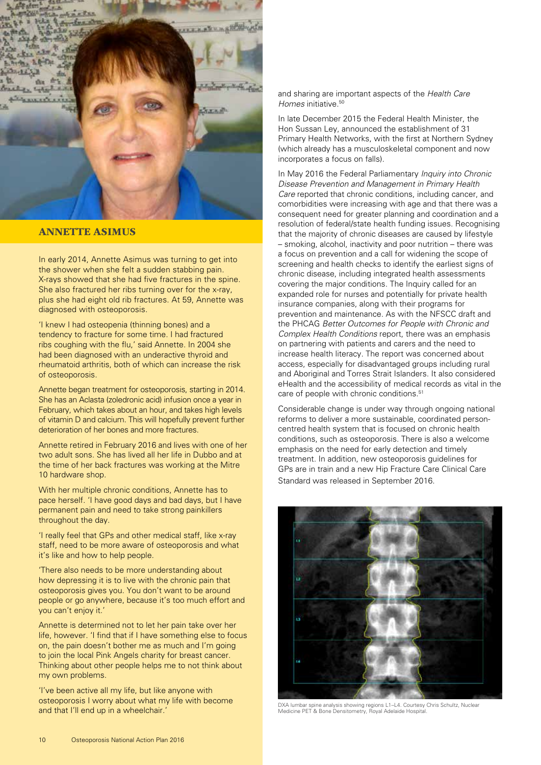

#### ANNETTE ASIMUS

In early 2014, Annette Asimus was turning to get into the shower when she felt a sudden stabbing pain. X-rays showed that she had five fractures in the spine. She also fractured her ribs turning over for the x-ray, plus she had eight old rib fractures. At 59, Annette was diagnosed with osteoporosis.

'I knew I had osteopenia (thinning bones) and a tendency to fracture for some time. I had fractured ribs coughing with the flu,' said Annette. In 2004 she had been diagnosed with an underactive thyroid and rheumatoid arthritis, both of which can increase the risk of osteoporosis.

Annette began treatment for osteoporosis, starting in 2014. She has an Aclasta (zoledronic acid) infusion once a year in February, which takes about an hour, and takes high levels of vitamin D and calcium. This will hopefully prevent further deterioration of her bones and more fractures.

Annette retired in February 2016 and lives with one of her two adult sons. She has lived all her life in Dubbo and at the time of her back fractures was working at the Mitre 10 hardware shop.

With her multiple chronic conditions, Annette has to pace herself. 'I have good days and bad days, but I have permanent pain and need to take strong painkillers throughout the day.

'I really feel that GPs and other medical staff, like x-ray staff, need to be more aware of osteoporosis and what it's like and how to help people.

'There also needs to be more understanding about how depressing it is to live with the chronic pain that osteoporosis gives you. You don't want to be around people or go anywhere, because it's too much effort and you can't enjoy it.'

Annette is determined not to let her pain take over her life, however. 'I find that if I have something else to focus on, the pain doesn't bother me as much and I'm going to join the local Pink Angels charity for breast cancer. Thinking about other people helps me to not think about my own problems.

'I've been active all my life, but like anyone with osteoporosis I worry about what my life with become and that I'll end up in a wheelchair.'

and sharing are important aspects of the *Health Care Homes* initiative.<sup>50</sup>

In late December 2015 the Federal Health Minister, the Hon Sussan Ley, announced the establishment of 31 Primary Health Networks, with the first at Northern Sydney (which already has a musculoskeletal component and now incorporates a focus on falls).

In May 2016 the Federal Parliamentary *Inquiry into Chronic Disease Prevention and Management in Primary Health Care* reported that chronic conditions, including cancer, and comorbidities were increasing with age and that there was a consequent need for greater planning and coordination and a resolution of federal/state health funding issues. Recognising that the majority of chronic diseases are caused by lifestyle – smoking, alcohol, inactivity and poor nutrition – there was a focus on prevention and a call for widening the scope of screening and health checks to identify the earliest signs of chronic disease, including integrated health assessments covering the major conditions. The Inquiry called for an expanded role for nurses and potentially for private health insurance companies, along with their programs for prevention and maintenance. As with the NFSCC draft and the PHCAG *Better Outcomes for People with Chronic and Complex Health Conditions* report, there was an emphasis on partnering with patients and carers and the need to increase health literacy. The report was concerned about access, especially for disadvantaged groups including rural and Aboriginal and Torres Strait Islanders. It also considered eHealth and the accessibility of medical records as vital in the care of people with chronic conditions.<sup>51</sup>

Considerable change is under way through ongoing national reforms to deliver a more sustainable, coordinated personcentred health system that is focused on chronic health conditions, such as osteoporosis. There is also a welcome emphasis on the need for early detection and timely treatment. In addition, new osteoporosis guidelines for GPs are in train and a new Hip Fracture Care Clinical Care Standard was released in September 2016.



DXA lumbar spine analysis showing regions L1–L4. Courtesy Chris Schultz, Nuclear Medicine PET & Bone Densitometry, Royal Adelaide Hospital.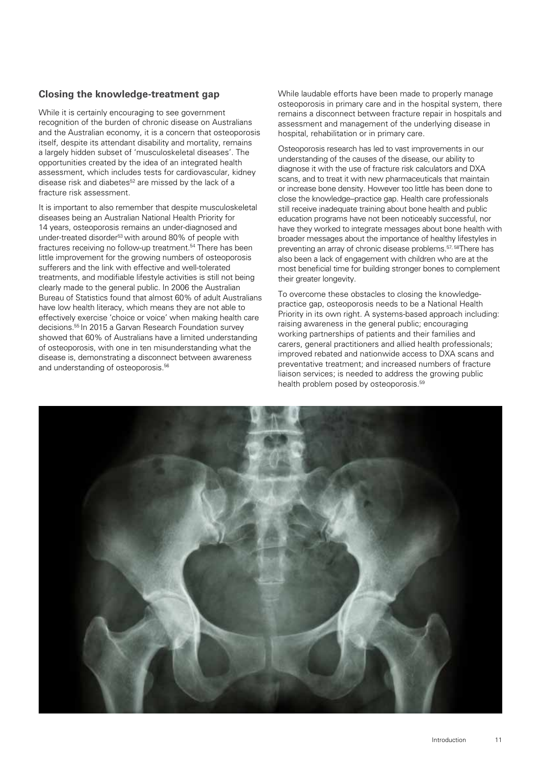#### **Closing the knowledge-treatment gap**

While it is certainly encouraging to see government recognition of the burden of chronic disease on Australians and the Australian economy, it is a concern that osteoporosis itself, despite its attendant disability and mortality, remains a largely hidden subset of 'musculoskeletal diseases'. The opportunities created by the idea of an integrated health assessment, which includes tests for cardiovascular, kidney disease risk and diabetes<sup>52</sup> are missed by the lack of a fracture risk assessment.

It is important to also remember that despite musculoskeletal diseases being an Australian National Health Priority for 14 years, osteoporosis remains an under-diagnosed and under-treated disorder<sup>53</sup> with around 80% of people with fractures receiving no follow-up treatment.<sup>54</sup> There has been little improvement for the growing numbers of osteoporosis sufferers and the link with effective and well-tolerated treatments, and modifiable lifestyle activities is still not being clearly made to the general public. In 2006 the Australian Bureau of Statistics found that almost 60% of adult Australians have low health literacy, which means they are not able to effectively exercise 'choice or voice' when making health care decisions.55 In 2015 a Garvan Research Foundation survey showed that 60% of Australians have a limited understanding of osteoporosis, with one in ten misunderstanding what the disease is, demonstrating a disconnect between awareness and understanding of osteoporosis.<sup>56</sup>

While laudable efforts have been made to properly manage osteoporosis in primary care and in the hospital system, there remains a disconnect between fracture repair in hospitals and assessment and management of the underlying disease in hospital, rehabilitation or in primary care.

Osteoporosis research has led to vast improvements in our understanding of the causes of the disease, our ability to diagnose it with the use of fracture risk calculators and DXA scans, and to treat it with new pharmaceuticals that maintain or increase bone density. However too little has been done to close the knowledge–practice gap. Health care professionals still receive inadequate training about bone health and public education programs have not been noticeably successful, nor have they worked to integrate messages about bone health with broader messages about the importance of healthy lifestyles in preventing an array of chronic disease problems.57, 58There has also been a lack of engagement with children who are at the most beneficial time for building stronger bones to complement their greater longevity.

To overcome these obstacles to closing the knowledgepractice gap, osteoporosis needs to be a National Health Priority in its own right. A systems-based approach including: raising awareness in the general public; encouraging working partnerships of patients and their families and carers, general practitioners and allied health professionals; improved rebated and nationwide access to DXA scans and preventative treatment; and increased numbers of fracture liaison services; is needed to address the growing public health problem posed by osteoporosis.<sup>59</sup>

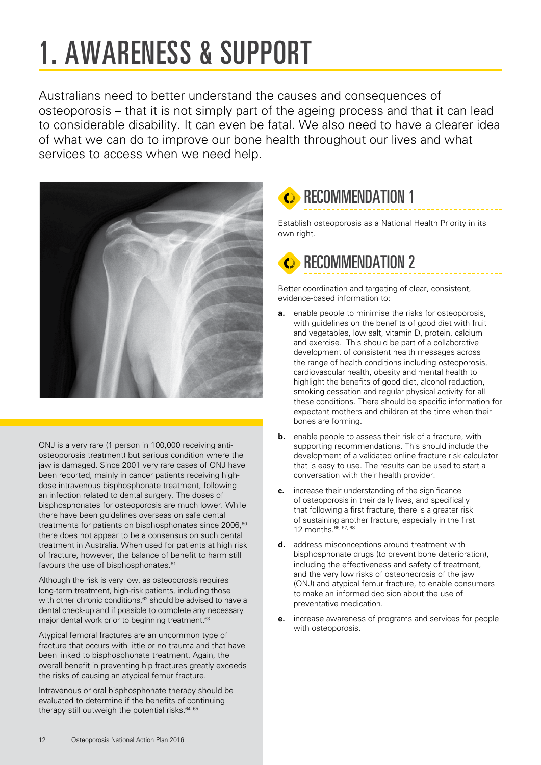## 1. AWARENESS & SUPPORT

Australians need to better understand the causes and consequences of osteoporosis – that it is not simply part of the ageing process and that it can lead to considerable disability. It can even be fatal. We also need to have a clearer idea of what we can do to improve our bone health throughout our lives and what services to access when we need help.



ONJ is a very rare (1 person in 100,000 receiving antiosteoporosis treatment) but serious condition where the jaw is damaged. Since 2001 very rare cases of ONJ have been reported, mainly in cancer patients receiving highdose intravenous bisphosphonate treatment, following an infection related to dental surgery. The doses of bisphosphonates for osteoporosis are much lower. While there have been guidelines overseas on safe dental treatments for patients on bisphosphonates since 2006,<sup>60</sup> there does not appear to be a consensus on such dental treatment in Australia. When used for patients at high risk of fracture, however, the balance of benefit to harm still favours the use of bisphosphonates.<sup>61</sup>

Although the risk is very low, as osteoporosis requires long-term treatment, high-risk patients, including those with other chronic conditions,<sup>62</sup> should be advised to have a dental check-up and if possible to complete any necessary major dental work prior to beginning treatment.<sup>63</sup>

Atypical femoral fractures are an uncommon type of fracture that occurs with little or no trauma and that have been linked to bisphosphonate treatment. Again, the overall benefit in preventing hip fractures greatly exceeds the risks of causing an atypical femur fracture.

Intravenous or oral bisphosphonate therapy should be evaluated to determine if the benefits of continuing therapy still outweigh the potential risks.<sup>64, 65</sup>



Establish osteoporosis as a National Health Priority in its own right.

### RECOMMENDATION 2

Better coordination and targeting of clear, consistent, evidence-based information to:

- **a.** enable people to minimise the risks for osteoporosis, with guidelines on the benefits of good diet with fruit and vegetables, low salt, vitamin D, protein, calcium and exercise. This should be part of a collaborative development of consistent health messages across the range of health conditions including osteoporosis, cardiovascular health, obesity and mental health to highlight the benefits of good diet, alcohol reduction, smoking cessation and regular physical activity for all these conditions. There should be specific information for expectant mothers and children at the time when their bones are forming.
- **b.** enable people to assess their risk of a fracture, with supporting recommendations. This should include the development of a validated online fracture risk calculator that is easy to use. The results can be used to start a conversation with their health provider.
- **c.** increase their understanding of the significance of osteoporosis in their daily lives, and specifically that following a first fracture, there is a greater risk of sustaining another fracture, especially in the first 12 months.66, 67, 68
- **d.** address misconceptions around treatment with bisphosphonate drugs (to prevent bone deterioration), including the effectiveness and safety of treatment, and the very low risks of osteonecrosis of the jaw (ONJ) and atypical femur fracture, to enable consumers to make an informed decision about the use of preventative medication.
- **e.** increase awareness of programs and services for people with osteoporosis.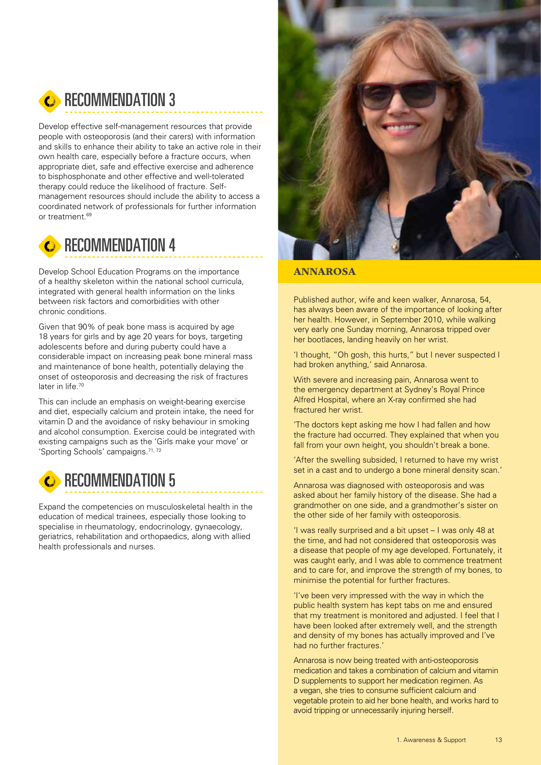

Develop effective self-management resources that provide people with osteoporosis (and their carers) with information and skills to enhance their ability to take an active role in their own health care, especially before a fracture occurs, when appropriate diet, safe and effective exercise and adherence to bisphosphonate and other effective and well-tolerated therapy could reduce the likelihood of fracture. Selfmanagement resources should include the ability to access a coordinated network of professionals for further information or treatment.<sup>69</sup>



Develop School Education Programs on the importance of a healthy skeleton within the national school curricula, integrated with general health information on the links between risk factors and comorbidities with other chronic conditions.

Given that 90% of peak bone mass is acquired by age 18 years for girls and by age 20 years for boys, targeting adolescents before and during puberty could have a considerable impact on increasing peak bone mineral mass and maintenance of bone health, potentially delaying the onset of osteoporosis and decreasing the risk of fractures later in life.<sup>70</sup>

This can include an emphasis on weight-bearing exercise and diet, especially calcium and protein intake, the need for vitamin D and the avoidance of risky behaviour in smoking and alcohol consumption. Exercise could be integrated with existing campaigns such as the 'Girls make your move' or 'Sporting Schools' campaigns.71, 72



Expand the competencies on musculoskeletal health in the education of medical trainees, especially those looking to specialise in rheumatology, endocrinology, gynaecology, geriatrics, rehabilitation and orthopaedics, along with allied health professionals and nurses.



#### ANNAROSA

Published author, wife and keen walker, Annarosa, 54, has always been aware of the importance of looking after her health. However, in September 2010, while walking very early one Sunday morning, Annarosa tripped over her bootlaces, landing heavily on her wrist.

'I thought, "Oh gosh, this hurts," but I never suspected I had broken anything,' said Annarosa.

With severe and increasing pain, Annarosa went to the emergency department at Sydney's Royal Prince Alfred Hospital, where an X-ray confirmed she had fractured her wrist.

'The doctors kept asking me how I had fallen and how the fracture had occurred. They explained that when you fall from your own height, you shouldn't break a bone.

'After the swelling subsided, I returned to have my wrist set in a cast and to undergo a bone mineral density scan.'

Annarosa was diagnosed with osteoporosis and was asked about her family history of the disease. She had a grandmother on one side, and a grandmother's sister on the other side of her family with osteoporosis.

'I was really surprised and a bit upset – I was only 48 at the time, and had not considered that osteoporosis was a disease that people of my age developed. Fortunately, it was caught early, and I was able to commence treatment and to care for, and improve the strength of my bones, to minimise the potential for further fractures.

'I've been very impressed with the way in which the public health system has kept tabs on me and ensured that my treatment is monitored and adjusted. I feel that I have been looked after extremely well, and the strength and density of my bones has actually improved and I've had no further fractures.'

Annarosa is now being treated with anti-osteoporosis medication and takes a combination of calcium and vitamin D supplements to support her medication regimen. As a vegan, she tries to consume sufficient calcium and vegetable protein to aid her bone health, and works hard to avoid tripping or unnecessarily injuring herself.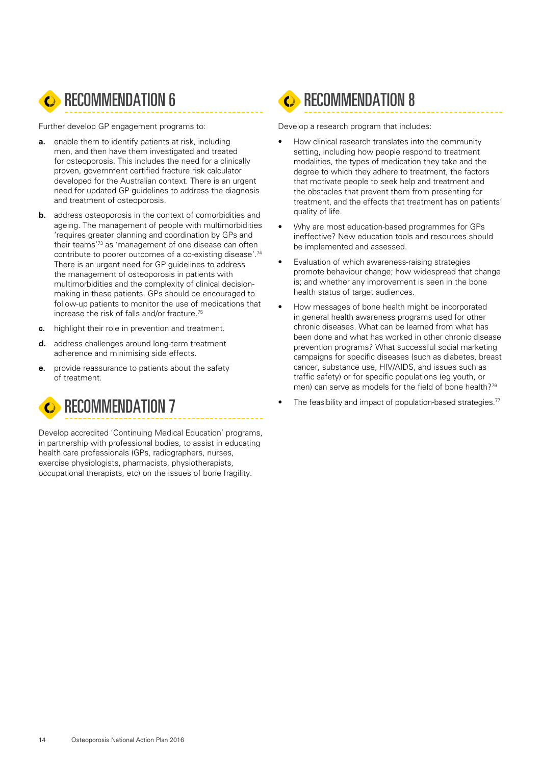

Further develop GP engagement programs to:

- **a.** enable them to identify patients at risk, including men, and then have them investigated and treated for osteoporosis. This includes the need for a clinically proven, government certified fracture risk calculator developed for the Australian context. There is an urgent need for updated GP guidelines to address the diagnosis and treatment of osteoporosis.
- **b.** address osteoporosis in the context of comorbidities and ageing. The management of people with multimorbidities 'requires greater planning and coordination by GPs and their teams'73 as 'management of one disease can often contribute to poorer outcomes of a co-existing disease'.74 There is an urgent need for GP guidelines to address the management of osteoporosis in patients with multimorbidities and the complexity of clinical decisionmaking in these patients. GPs should be encouraged to follow-up patients to monitor the use of medications that increase the risk of falls and/or fracture.75
- **c.** highlight their role in prevention and treatment.
- **d.** address challenges around long-term treatment adherence and minimising side effects.
- **e.** provide reassurance to patients about the safety of treatment.



Develop accredited 'Continuing Medical Education' programs, in partnership with professional bodies, to assist in educating health care professionals (GPs, radiographers, nurses, exercise physiologists, pharmacists, physiotherapists, occupational therapists, etc) on the issues of bone fragility.

### RECOMMENDATION 8

Develop a research program that includes:

- How clinical research translates into the community setting, including how people respond to treatment modalities, the types of medication they take and the degree to which they adhere to treatment, the factors that motivate people to seek help and treatment and the obstacles that prevent them from presenting for treatment, and the effects that treatment has on patients' quality of life.
- Why are most education-based programmes for GPs ineffective? New education tools and resources should be implemented and assessed.
- Evaluation of which awareness-raising strategies promote behaviour change; how widespread that change is; and whether any improvement is seen in the bone health status of target audiences.
- How messages of bone health might be incorporated in general health awareness programs used for other chronic diseases. What can be learned from what has been done and what has worked in other chronic disease prevention programs? What successful social marketing campaigns for specific diseases (such as diabetes, breast cancer, substance use, HIV/AIDS, and issues such as traffic safety) or for specific populations (eg youth, or men) can serve as models for the field of bone health?76
- The feasibility and impact of population-based strategies.<sup>77</sup>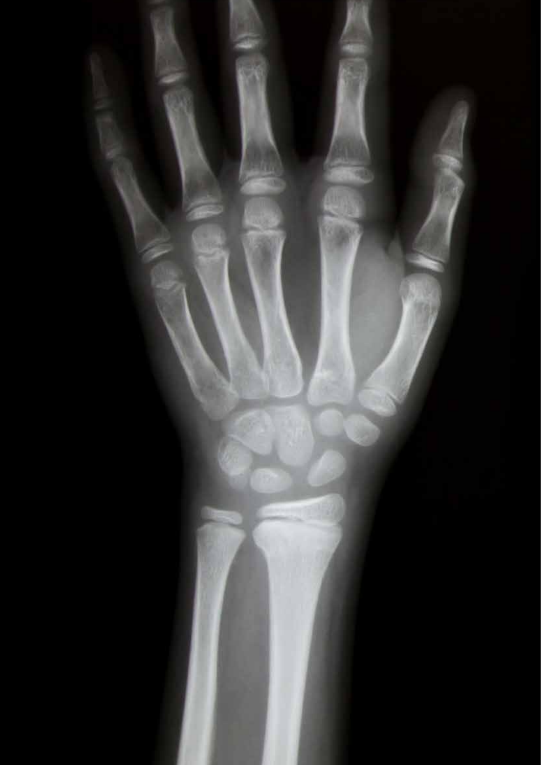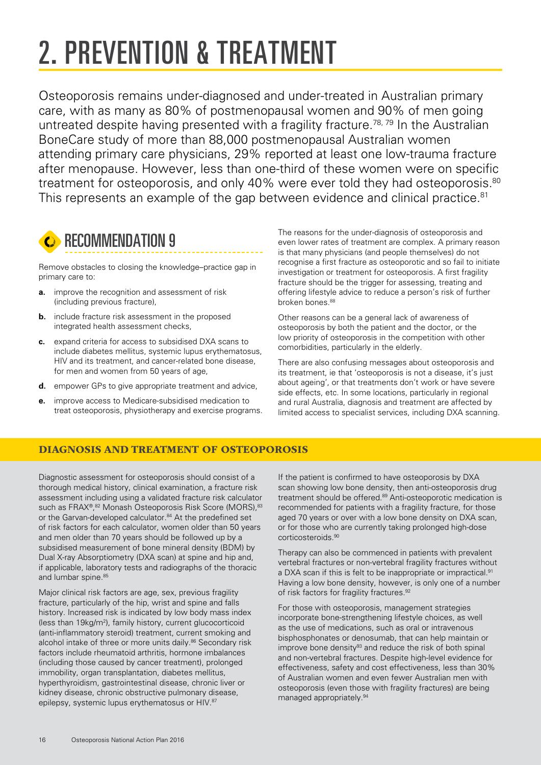# 2. PREVENTION & TREATMENT

Osteoporosis remains under-diagnosed and under-treated in Australian primary care, with as many as 80% of postmenopausal women and 90% of men going untreated despite having presented with a fragility fracture.<sup>78, 79</sup> In the Australian BoneCare study of more than 88,000 postmenopausal Australian women attending primary care physicians, 29% reported at least one low-trauma fracture after menopause. However, less than one-third of these women were on specific treatment for osteoporosis, and only 40% were ever told they had osteoporosis.<sup>80</sup> This represents an example of the gap between evidence and clinical practice.<sup>81</sup>



Remove obstacles to closing the knowledge–practice gap in primary care to:

- **a.** improve the recognition and assessment of risk (including previous fracture),
- **b.** include fracture risk assessment in the proposed integrated health assessment checks,
- **c.** expand criteria for access to subsidised DXA scans to include diabetes mellitus, systemic lupus erythematosus, HIV and its treatment, and cancer-related bone disease, for men and women from 50 years of age,
- **d.** empower GPs to give appropriate treatment and advice,
- **e.** improve access to Medicare-subsidised medication to treat osteoporosis, physiotherapy and exercise programs.

The reasons for the under-diagnosis of osteoporosis and even lower rates of treatment are complex. A primary reason is that many physicians (and people themselves) do not recognise a first fracture as osteoporotic and so fail to initiate investigation or treatment for osteoporosis. A first fragility fracture should be the trigger for assessing, treating and offering lifestyle advice to reduce a person's risk of further broken bones.<sup>88</sup>

Other reasons can be a general lack of awareness of osteoporosis by both the patient and the doctor, or the low priority of osteoporosis in the competition with other comorbidities, particularly in the elderly.

There are also confusing messages about osteoporosis and its treatment, ie that 'osteoporosis is not a disease, it's just about ageing', or that treatments don't work or have severe side effects, etc. In some locations, particularly in regional and rural Australia, diagnosis and treatment are affected by limited access to specialist services, including DXA scanning.

#### DIAGNOSIS AND TREATMENT OF OSTEOPOROSIS

Diagnostic assessment for osteoporosis should consist of a thorough medical history, clinical examination, a fracture risk assessment including using a validated fracture risk calculator such as FRAX®,<sup>82</sup> Monash Osteoporosis Risk Score (MORS),<sup>83</sup> or the Garvan-developed calculator.<sup>84</sup> At the predefined set of risk factors for each calculator, women older than 50 years and men older than 70 years should be followed up by a subsidised measurement of bone mineral density (BDM) by Dual X-ray Absorptiometry (DXA scan) at spine and hip and, if applicable, laboratory tests and radiographs of the thoracic and lumbar spine.<sup>85</sup>

Major clinical risk factors are age, sex, previous fragility fracture, particularly of the hip, wrist and spine and falls history. Increased risk is indicated by low body mass index (less than 19kg/m2 ), family history, current glucocorticoid (anti-inflammatory steroid) treatment, current smoking and alcohol intake of three or more units daily.<sup>86</sup> Secondary risk factors include rheumatoid arthritis, hormone imbalances (including those caused by cancer treatment), prolonged immobility, organ transplantation, diabetes mellitus, hyperthyroidism, gastrointestinal disease, chronic liver or kidney disease, chronic obstructive pulmonary disease, epilepsy, systemic lupus erythematosus or HIV.<sup>87</sup>

If the patient is confirmed to have osteoporosis by DXA scan showing low bone density, then anti-osteoporosis drug treatment should be offered.89 Anti-osteoporotic medication is recommended for patients with a fragility fracture, for those aged 70 years or over with a low bone density on DXA scan, or for those who are currently taking prolonged high-dose corticosteroids.90

Therapy can also be commenced in patients with prevalent vertebral fractures or non-vertebral fragility fractures without a DXA scan if this is felt to be inappropriate or impractical.<sup>91</sup> Having a low bone density, however, is only one of a number of risk factors for fragility fractures.<sup>92</sup>

For those with osteoporosis, management strategies incorporate bone-strengthening lifestyle choices, as well as the use of medications, such as oral or intravenous bisphosphonates or denosumab, that can help maintain or improve bone density<sup>93</sup> and reduce the risk of both spinal and non-vertebral fractures. Despite high-level evidence for effectiveness, safety and cost effectiveness, less than 30% of Australian women and even fewer Australian men with osteoporosis (even those with fragility fractures) are being managed appropriately.<sup>94</sup>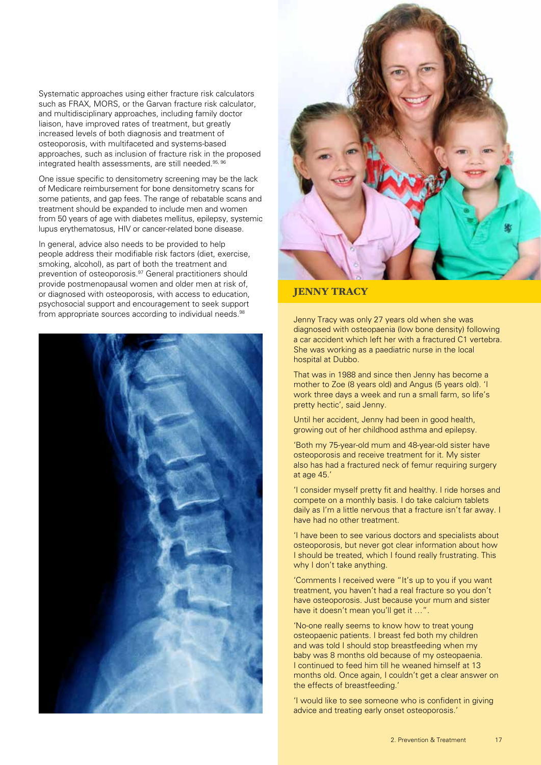Systematic approaches using either fracture risk calculators such as FRAX, MORS, or the Garvan fracture risk calculator, and multidisciplinary approaches, including family doctor liaison, have improved rates of treatment, but greatly increased levels of both diagnosis and treatment of osteoporosis, with multifaceted and systems-based approaches, such as inclusion of fracture risk in the proposed integrated health assessments, are still needed. 95, 96

One issue specific to densitometry screening may be the lack of Medicare reimbursement for bone densitometry scans for some patients, and gap fees. The range of rebatable scans and treatment should be expanded to include men and women from 50 years of age with diabetes mellitus, epilepsy, systemic lupus erythematosus, HIV or cancer-related bone disease.

In general, advice also needs to be provided to help people address their modifiable risk factors (diet, exercise, smoking, alcohol), as part of both the treatment and prevention of osteoporosis.97 General practitioners should provide postmenopausal women and older men at risk of, or diagnosed with osteoporosis, with access to education, psychosocial support and encouragement to seek support from appropriate sources according to individual needs.<sup>98</sup>





#### **JENNY TRACY**

Jenny Tracy was only 27 years old when she was diagnosed with osteopaenia (low bone density) following a car accident which left her with a fractured C1 vertebra. She was working as a paediatric nurse in the local hospital at Dubbo.

That was in 1988 and since then Jenny has become a mother to Zoe (8 years old) and Angus (5 years old). 'I work three days a week and run a small farm, so life's pretty hectic', said Jenny.

Until her accident, Jenny had been in good health, growing out of her childhood asthma and epilepsy.

'Both my 75-year-old mum and 48-year-old sister have osteoporosis and receive treatment for it. My sister also has had a fractured neck of femur requiring surgery at age 45.'

'I consider myself pretty fit and healthy. I ride horses and compete on a monthly basis. I do take calcium tablets daily as I'm a little nervous that a fracture isn't far away. I have had no other treatment.

'I have been to see various doctors and specialists about osteoporosis, but never got clear information about how I should be treated, which I found really frustrating. This why I don't take anything.

'Comments I received were "It's up to you if you want treatment, you haven't had a real fracture so you don't have osteoporosis. Just because your mum and sister have it doesn't mean you'll get it …".

'No-one really seems to know how to treat young osteopaenic patients. I breast fed both my children and was told I should stop breastfeeding when my baby was 8 months old because of my osteopaenia. I continued to feed him till he weaned himself at 13 months old. Once again, I couldn't get a clear answer on the effects of breastfeeding.'

'I would like to see someone who is confident in giving advice and treating early onset osteoporosis.'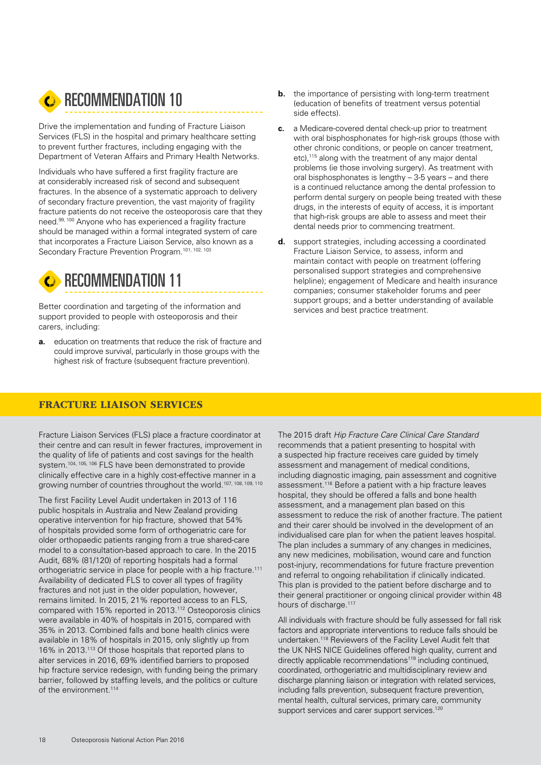

Drive the implementation and funding of Fracture Liaison Services (FLS) in the hospital and primary healthcare setting to prevent further fractures, including engaging with the Department of Veteran Affairs and Primary Health Networks.

Individuals who have suffered a first fragility fracture are at considerably increased risk of second and subsequent fractures. In the absence of a systematic approach to delivery of secondary fracture prevention, the vast majority of fragility fracture patients do not receive the osteoporosis care that they need.99, 100 Anyone who has experienced a fragility fracture should be managed within a formal integrated system of care that incorporates a Fracture Liaison Service, also known as a Secondary Fracture Prevention Program.<sup>101, 102, 103</sup>



Better coordination and targeting of the information and support provided to people with osteoporosis and their carers, including:

**a.** education on treatments that reduce the risk of fracture and could improve survival, particularly in those groups with the highest risk of fracture (subsequent fracture prevention).

- **b.** the importance of persisting with long-term treatment (education of benefits of treatment versus potential side effects).
- **c.** a Medicare-covered dental check-up prior to treatment with oral bisphosphonates for high-risk groups (those with other chronic conditions, or people on cancer treatment, etc),<sup>115</sup> along with the treatment of any major dental problems (ie those involving surgery). As treatment with oral bisphosphonates is lengthy – 3-5 years – and there is a continued reluctance among the dental profession to perform dental surgery on people being treated with these drugs, in the interests of equity of access, it is important that high-risk groups are able to assess and meet their dental needs prior to commencing treatment.
- **d.** support strategies, including accessing a coordinated Fracture Liaison Service, to assess, inform and maintain contact with people on treatment (offering personalised support strategies and comprehensive helpline); engagement of Medicare and health insurance companies; consumer stakeholder forums and peer support groups; and a better understanding of available services and best practice treatment.

#### FRACTURE LIAISON SERVICES

Fracture Liaison Services (FLS) place a fracture coordinator at their centre and can result in fewer fractures, improvement in the quality of life of patients and cost savings for the health system.104, 105, 106 FLS have been demonstrated to provide clinically effective care in a highly cost-effective manner in a growing number of countries throughout the world.107, 108, 109, 110

The first Facility Level Audit undertaken in 2013 of 116 public hospitals in Australia and New Zealand providing operative intervention for hip fracture, showed that 54% of hospitals provided some form of orthogeriatric care for older orthopaedic patients ranging from a true shared-care model to a consultation-based approach to care. In the 2015 Audit, 68% (81/120) of reporting hospitals had a formal orthogeriatric service in place for people with a hip fracture.<sup>111</sup> Availability of dedicated FLS to cover all types of fragility fractures and not just in the older population, however, remains limited. In 2015, 21% reported access to an FLS, compared with 15% reported in 2013.112 Osteoporosis clinics were available in 40% of hospitals in 2015, compared with 35% in 2013. Combined falls and bone health clinics were available in 18% of hospitals in 2015, only slightly up from 16% in 2013.113 Of those hospitals that reported plans to alter services in 2016, 69% identified barriers to proposed hip fracture service redesign, with funding being the primary barrier, followed by staffing levels, and the politics or culture of the environment.<sup>114</sup>

The 2015 draft *Hip Fracture Care Clinical Care Standard* recommends that a patient presenting to hospital with a suspected hip fracture receives care guided by timely assessment and management of medical conditions, including diagnostic imaging, pain assessment and cognitive assessment.116 Before a patient with a hip fracture leaves hospital, they should be offered a falls and bone health assessment, and a management plan based on this assessment to reduce the risk of another fracture. The patient and their carer should be involved in the development of an individualised care plan for when the patient leaves hospital. The plan includes a summary of any changes in medicines, any new medicines, mobilisation, wound care and function post-injury, recommendations for future fracture prevention and referral to ongoing rehabilitation if clinically indicated. This plan is provided to the patient before discharge and to their general practitioner or ongoing clinical provider within 48 hours of discharge.<sup>117</sup>

All individuals with fracture should be fully assessed for fall risk factors and appropriate interventions to reduce falls should be undertaken.118 Reviewers of the Facility Level Audit felt that the UK NHS NICE Guidelines offered high quality, current and directly applicable recommendations<sup>119</sup> including continued, coordinated, orthogeriatric and multidisciplinary review and discharge planning liaison or integration with related services, including falls prevention, subsequent fracture prevention, mental health, cultural services, primary care, community support services and carer support services.<sup>120</sup>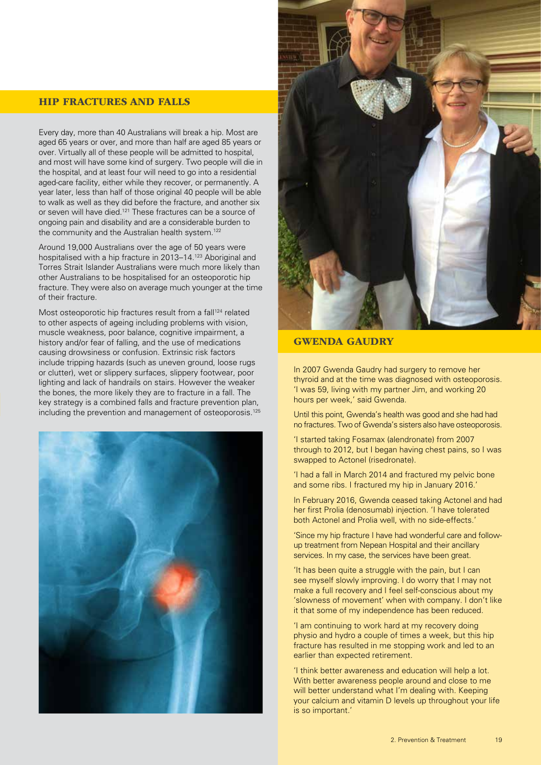#### HIP FRACTURES AND FALLS

Every day, more than 40 Australians will break a hip. Most are aged 65 years or over, and more than half are aged 85 years or over. Virtually all of these people will be admitted to hospital, and most will have some kind of surgery. Two people will die in the hospital, and at least four will need to go into a residential aged-care facility, either while they recover, or permanently. A year later, less than half of those original 40 people will be able to walk as well as they did before the fracture, and another six or seven will have died.121 These fractures can be a source of ongoing pain and disability and are a considerable burden to the community and the Australian health system.<sup>122</sup>

Around 19,000 Australians over the age of 50 years were hospitalised with a hip fracture in 2013–14.<sup>123</sup> Aboriginal and Torres Strait Islander Australians were much more likely than other Australians to be hospitalised for an osteoporotic hip fracture. They were also on average much younger at the time of their fracture.

Most osteoporotic hip fractures result from a fall<sup>124</sup> related to other aspects of ageing including problems with vision, muscle weakness, poor balance, cognitive impairment, a history and/or fear of falling, and the use of medications causing drowsiness or confusion. Extrinsic risk factors include tripping hazards (such as uneven ground, loose rugs or clutter), wet or slippery surfaces, slippery footwear, poor lighting and lack of handrails on stairs. However the weaker the bones, the more likely they are to fracture in a fall. The key strategy is a combined falls and fracture prevention plan, including the prevention and management of osteoporosis.125





#### GWENDA GAUDRY

In 2007 Gwenda Gaudry had surgery to remove her thyroid and at the time was diagnosed with osteoporosis. 'I was 59, living with my partner Jim, and working 20 hours per week,' said Gwenda.

Until this point, Gwenda's health was good and she had had no fractures. Two of Gwenda's sisters also have osteoporosis.

'I started taking Fosamax (alendronate) from 2007 through to 2012, but I began having chest pains, so I was swapped to Actonel (risedronate).

'I had a fall in March 2014 and fractured my pelvic bone and some ribs. I fractured my hip in January 2016.'

In February 2016, Gwenda ceased taking Actonel and had her first Prolia (denosumab) injection. 'I have tolerated both Actonel and Prolia well, with no side-effects.'

'Since my hip fracture I have had wonderful care and followup treatment from Nepean Hospital and their ancillary services. In my case, the services have been great.

'It has been quite a struggle with the pain, but I can see myself slowly improving. I do worry that I may not make a full recovery and I feel self-conscious about my 'slowness of movement' when with company. I don't like it that some of my independence has been reduced.

'I am continuing to work hard at my recovery doing physio and hydro a couple of times a week, but this hip fracture has resulted in me stopping work and led to an earlier than expected retirement.

'I think better awareness and education will help a lot. With better awareness people around and close to me will better understand what I'm dealing with. Keeping your calcium and vitamin D levels up throughout your life is so important.'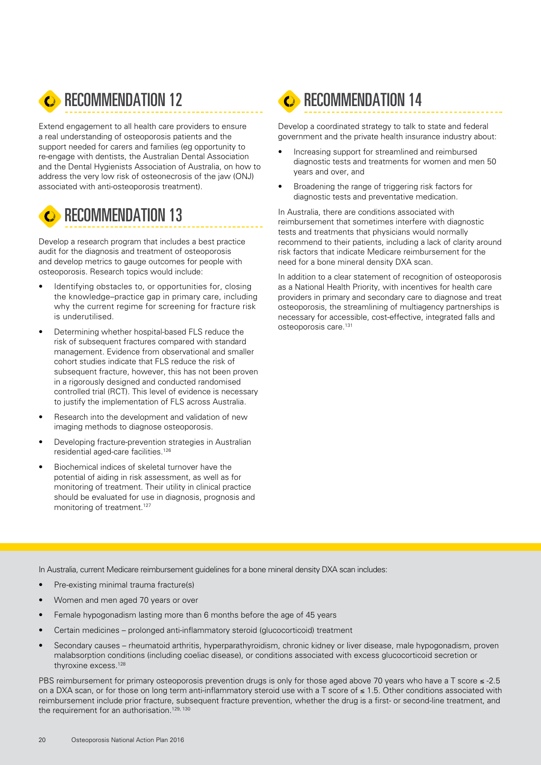

Extend engagement to all health care providers to ensure a real understanding of osteoporosis patients and the support needed for carers and families (eg opportunity to re-engage with dentists, the Australian Dental Association and the Dental Hygienists Association of Australia, on how to address the very low risk of osteonecrosis of the jaw (ONJ) associated with anti-osteoporosis treatment).



Develop a research program that includes a best practice audit for the diagnosis and treatment of osteoporosis and develop metrics to gauge outcomes for people with osteoporosis. Research topics would include:

- Identifying obstacles to, or opportunities for, closing the knowledge–practice gap in primary care, including why the current regime for screening for fracture risk is underutilised.
- Determining whether hospital-based FLS reduce the risk of subsequent fractures compared with standard management. Evidence from observational and smaller cohort studies indicate that FLS reduce the risk of subsequent fracture, however, this has not been proven in a rigorously designed and conducted randomised controlled trial (RCT). This level of evidence is necessary to justify the implementation of FLS across Australia.
- Research into the development and validation of new imaging methods to diagnose osteoporosis.
- Developing fracture-prevention strategies in Australian residential aged-care facilities.126
- Biochemical indices of skeletal turnover have the potential of aiding in risk assessment, as well as for monitoring of treatment. Their utility in clinical practice should be evaluated for use in diagnosis, prognosis and monitoring of treatment.<sup>127</sup>

### **C** RECOMMENDATION 14

Develop a coordinated strategy to talk to state and federal government and the private health insurance industry about:

- Increasing support for streamlined and reimbursed diagnostic tests and treatments for women and men 50 years and over, and
- Broadening the range of triggering risk factors for diagnostic tests and preventative medication.

In Australia, there are conditions associated with reimbursement that sometimes interfere with diagnostic tests and treatments that physicians would normally recommend to their patients, including a lack of clarity around risk factors that indicate Medicare reimbursement for the need for a bone mineral density DXA scan.

In addition to a clear statement of recognition of osteoporosis as a National Health Priority, with incentives for health care providers in primary and secondary care to diagnose and treat osteoporosis, the streamlining of multiagency partnerships is necessary for accessible, cost-effective, integrated falls and osteoporosis care.131

In Australia, current Medicare reimbursement guidelines for a bone mineral density DXA scan includes:

- Pre-existing minimal trauma fracture(s)
- Women and men aged 70 years or over
- Female hypogonadism lasting more than 6 months before the age of 45 years
- Certain medicines prolonged anti-inflammatory steroid (glucocorticoid) treatment
- Secondary causes rheumatoid arthritis, hyperparathyroidism, chronic kidney or liver disease, male hypogonadism, proven malabsorption conditions (including coeliac disease), or conditions associated with excess glucocorticoid secretion or thyroxine excess.128

PBS reimbursement for primary osteoporosis prevention drugs is only for those aged above 70 years who have a T score ≤ -2.5 on a DXA scan, or for those on long term anti-inflammatory steroid use with a T score of ≤ 1.5. Other conditions associated with reimbursement include prior fracture, subsequent fracture prevention, whether the drug is a first- or second-line treatment, and the requirement for an authorisation.<sup>129, 130</sup>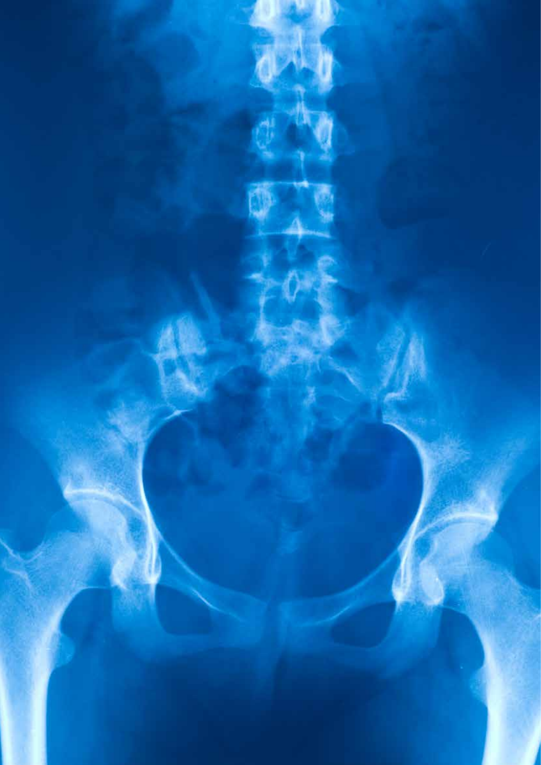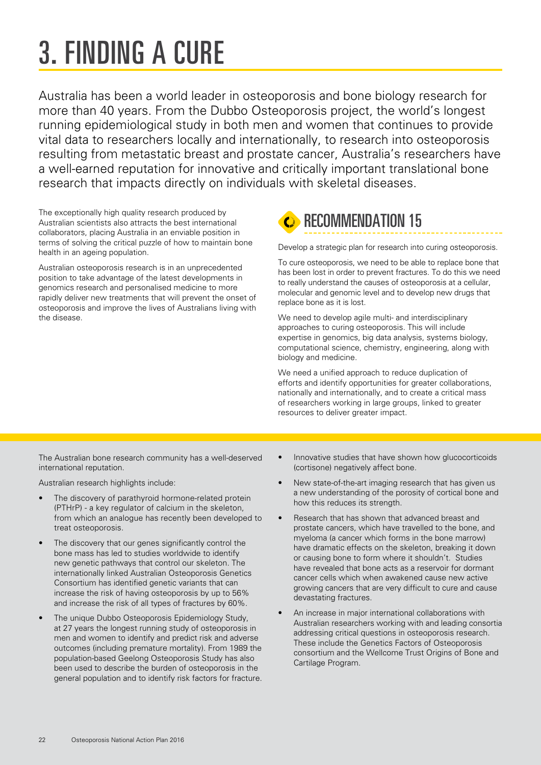# 3. FINDING A CURE

Australia has been a world leader in osteoporosis and bone biology research for more than 40 years. From the Dubbo Osteoporosis project, the world's longest running epidemiological study in both men and women that continues to provide vital data to researchers locally and internationally, to research into osteoporosis resulting from metastatic breast and prostate cancer, Australia's researchers have a well-earned reputation for innovative and critically important translational bone research that impacts directly on individuals with skeletal diseases.

The exceptionally high quality research produced by Australian scientists also attracts the best international collaborators, placing Australia in an enviable position in terms of solving the critical puzzle of how to maintain bone health in an ageing population.

Australian osteoporosis research is in an unprecedented position to take advantage of the latest developments in genomics research and personalised medicine to more rapidly deliver new treatments that will prevent the onset of osteoporosis and improve the lives of Australians living with the disease.



Develop a strategic plan for research into curing osteoporosis.

To cure osteoporosis, we need to be able to replace bone that has been lost in order to prevent fractures. To do this we need to really understand the causes of osteoporosis at a cellular, molecular and genomic level and to develop new drugs that replace bone as it is lost.

We need to develop agile multi- and interdisciplinary approaches to curing osteoporosis. This will include expertise in genomics, big data analysis, systems biology, computational science, chemistry, engineering, along with biology and medicine.

We need a unified approach to reduce duplication of efforts and identify opportunities for greater collaborations, nationally and internationally, and to create a critical mass of researchers working in large groups, linked to greater resources to deliver greater impact.

The Australian bone research community has a well-deserved international reputation.

Australian research highlights include:

- The discovery of parathyroid hormone-related protein (PTHrP) - a key regulator of calcium in the skeleton, from which an analogue has recently been developed to treat osteoporosis.
- The discovery that our genes significantly control the bone mass has led to studies worldwide to identify new genetic pathways that control our skeleton. The internationally linked Australian Osteoporosis Genetics Consortium has identified genetic variants that can increase the risk of having osteoporosis by up to 56% and increase the risk of all types of fractures by 60%.
- The unique Dubbo Osteoporosis Epidemiology Study, at 27 years the longest running study of osteoporosis in men and women to identify and predict risk and adverse outcomes (including premature mortality). From 1989 the population-based Geelong Osteoporosis Study has also been used to describe the burden of osteoporosis in the general population and to identify risk factors for fracture.
- Innovative studies that have shown how glucocorticoids (cortisone) negatively affect bone.
- New state-of-the-art imaging research that has given us a new understanding of the porosity of cortical bone and how this reduces its strength.
- Research that has shown that advanced breast and prostate cancers, which have travelled to the bone, and myeloma (a cancer which forms in the bone marrow) have dramatic effects on the skeleton, breaking it down or causing bone to form where it shouldn't. Studies have revealed that bone acts as a reservoir for dormant cancer cells which when awakened cause new active growing cancers that are very difficult to cure and cause devastating fractures.
- An increase in major international collaborations with Australian researchers working with and leading consortia addressing critical questions in osteoporosis research. These include the Genetics Factors of Osteoporosis consortium and the Wellcome Trust Origins of Bone and Cartilage Program.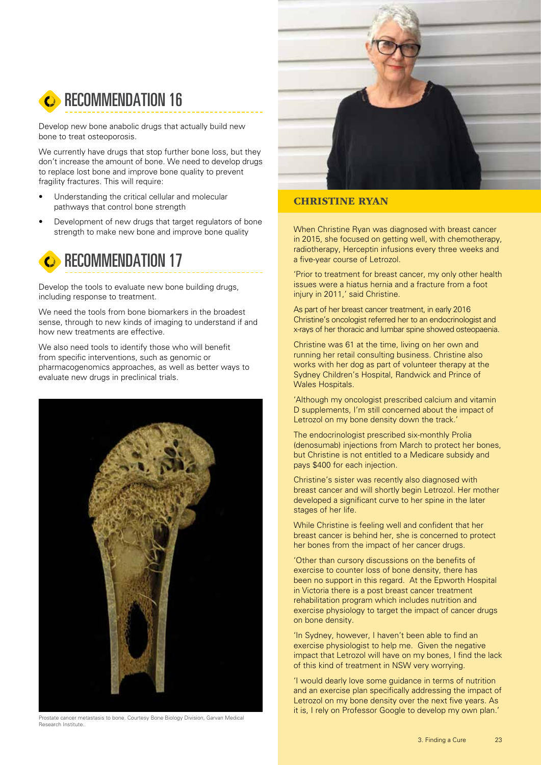

Develop new bone anabolic drugs that actually build new bone to treat osteoporosis.

We currently have drugs that stop further bone loss, but they don't increase the amount of bone. We need to develop drugs to replace lost bone and improve bone quality to prevent fragility fractures. This will require:

- Understanding the critical cellular and molecular pathways that control bone strength
- Development of new drugs that target regulators of bone strength to make new bone and improve bone quality



Develop the tools to evaluate new bone building drugs, including response to treatment.

We need the tools from bone biomarkers in the broadest sense, through to new kinds of imaging to understand if and how new treatments are effective.

We also need tools to identify those who will benefit from specific interventions, such as genomic or pharmacogenomics approaches, as well as better ways to evaluate new drugs in preclinical trials.



Prostate cancer metastasis to bone. Courtesy Bone Biology Division, Garvan Medical Research Institute..



#### CHRISTINE RYAN

When Christine Ryan was diagnosed with breast cancer in 2015, she focused on getting well, with chemotherapy, radiotherapy, Herceptin infusions every three weeks and a five-year course of Letrozol.

'Prior to treatment for breast cancer, my only other health issues were a hiatus hernia and a fracture from a foot injury in 2011,' said Christine.

As part of her breast cancer treatment, in early 2016 Christine's oncologist referred her to an endocrinologist and x-rays of her thoracic and lumbar spine showed osteopaenia.

Christine was 61 at the time, living on her own and running her retail consulting business. Christine also works with her dog as part of volunteer therapy at the Sydney Children's Hospital, Randwick and Prince of Wales Hospitals.

'Although my oncologist prescribed calcium and vitamin D supplements, I'm still concerned about the impact of Letrozol on my bone density down the track.'

The endocrinologist prescribed six-monthly Prolia (denosumab) injections from March to protect her bones, but Christine is not entitled to a Medicare subsidy and pays \$400 for each injection.

Christine's sister was recently also diagnosed with breast cancer and will shortly begin Letrozol. Her mother developed a significant curve to her spine in the later stages of her life.

While Christine is feeling well and confident that her breast cancer is behind her, she is concerned to protect her bones from the impact of her cancer drugs.

'Other than cursory discussions on the benefits of exercise to counter loss of bone density, there has been no support in this regard. At the Epworth Hospital in Victoria there is a post breast cancer treatment rehabilitation program which includes nutrition and exercise physiology to target the impact of cancer drugs on bone density.

'In Sydney, however, I haven't been able to find an exercise physiologist to help me. Given the negative impact that Letrozol will have on my bones, I find the lack of this kind of treatment in NSW very worrying.

'I would dearly love some guidance in terms of nutrition and an exercise plan specifically addressing the impact of Letrozol on my bone density over the next five years. As it is, I rely on Professor Google to develop my own plan.'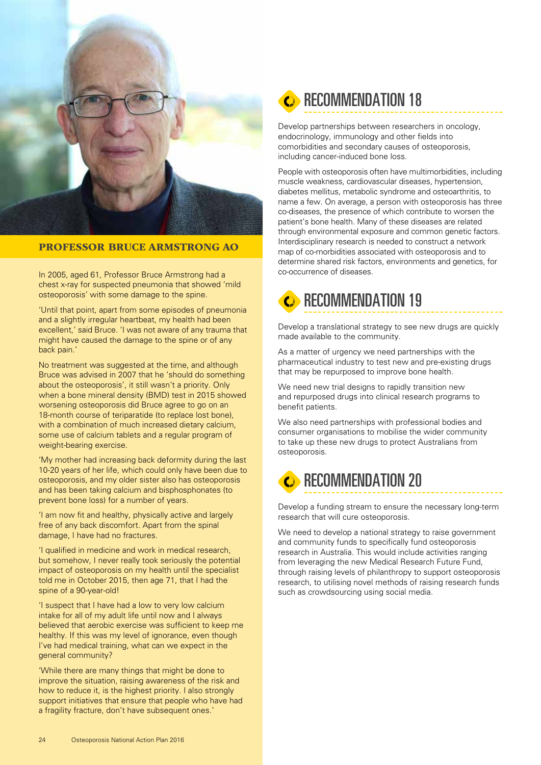

#### PROFESSOR BRUCE ARMSTRONG AO

In 2005, aged 61, Professor Bruce Armstrong had a chest x-ray for suspected pneumonia that showed 'mild osteoporosis' with some damage to the spine.

'Until that point, apart from some episodes of pneumonia and a slightly irregular heartbeat, my health had been excellent,' said Bruce. 'I was not aware of any trauma that might have caused the damage to the spine or of any back pain.'

No treatment was suggested at the time, and although Bruce was advised in 2007 that he 'should do something about the osteoporosis', it still wasn't a priority. Only when a bone mineral density (BMD) test in 2015 showed worsening osteoporosis did Bruce agree to go on an 18-month course of teriparatide (to replace lost bone), with a combination of much increased dietary calcium, some use of calcium tablets and a regular program of weight-bearing exercise.

'My mother had increasing back deformity during the last 10-20 years of her life, which could only have been due to osteoporosis, and my older sister also has osteoporosis and has been taking calcium and bisphosphonates (to prevent bone loss) for a number of years.

'I am now fit and healthy, physically active and largely free of any back discomfort. Apart from the spinal damage, I have had no fractures.

'I qualified in medicine and work in medical research, but somehow, I never really took seriously the potential impact of osteoporosis on my health until the specialist told me in October 2015, then age 71, that I had the spine of a 90-year-old!

'I suspect that I have had a low to very low calcium intake for all of my adult life until now and I always believed that aerobic exercise was sufficient to keep me healthy. If this was my level of ignorance, even though I've had medical training, what can we expect in the general community?

'While there are many things that might be done to improve the situation, raising awareness of the risk and how to reduce it, is the highest priority. I also strongly support initiatives that ensure that people who have had a fragility fracture, don't have subsequent ones.'



Develop partnerships between researchers in oncology, endocrinology, immunology and other fields into comorbidities and secondary causes of osteoporosis, including cancer-induced bone loss.

People with osteoporosis often have multimorbidities, including muscle weakness, cardiovascular diseases, hypertension, diabetes mellitus, metabolic syndrome and osteoarthritis, to name a few. On average, a person with osteoporosis has three co-diseases, the presence of which contribute to worsen the patient's bone health. Many of these diseases are related through environmental exposure and common genetic factors. Interdisciplinary research is needed to construct a network map of co-morbidities associated with osteoporosis and to determine shared risk factors, environments and genetics, for co-occurrence of diseases.



Develop a translational strategy to see new drugs are quickly made available to the community.

As a matter of urgency we need partnerships with the pharmaceutical industry to test new and pre-existing drugs that may be repurposed to improve bone health.

We need new trial designs to rapidly transition new and repurposed drugs into clinical research programs to benefit patients.

We also need partnerships with professional bodies and consumer organisations to mobilise the wider community to take up these new drugs to protect Australians from osteoporosis.



Develop a funding stream to ensure the necessary long-term research that will cure osteoporosis.

We need to develop a national strategy to raise government and community funds to specifically fund osteoporosis research in Australia. This would include activities ranging from leveraging the new Medical Research Future Fund, through raising levels of philanthropy to support osteoporosis research, to utilising novel methods of raising research funds such as crowdsourcing using social media.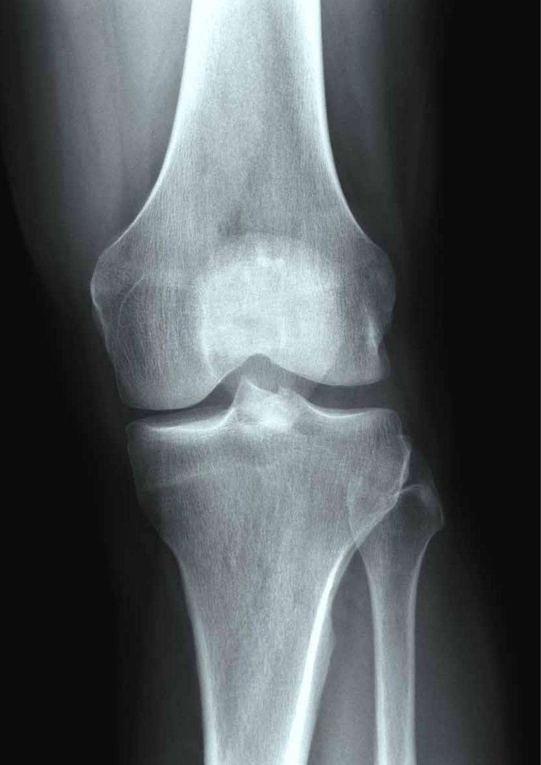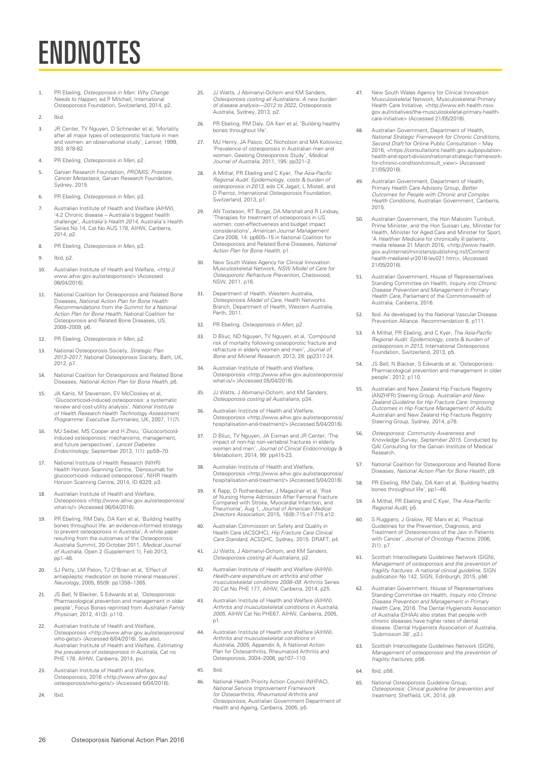## ENDNOTES

- 1. PR Ebeling, *Osteoporosis in Men: Why Change Needs to Happen*, ed P Mitchell, International Osteoporosis Foundation, Switzerland, 2014, p2.
- $\overline{2}$
- 3. JR Center, TV Nguyen, D Schneider et al, 'Mortality after all major types of osteoporotic fracture in men and women: an observational study', *Lancet,* 1999, 353: 878-82.
- 4. PR Ebeling, *Osteoporosis in Men,* p2.
- 5. Garvan Research Foundation, *PROMIS: Prostate Cancer Metastasis*, Garvan Research Foundation, Sydney, 2015.
- 6. PR Ebeling, *Osteoporosis in Men*, p3.
- 7. Australian Institute of Health and Welfare (AIHW), '4.2 Chronic disease – Australia's biggest health challenge', *Australia's Health 2014,* Australia's Health Series No 14, Cat No AUS 178, AIHW, Canberra, 2014, p2.
- 8. PR Ebeling, *Osteoporosis in Men*, p3.
- 9. Ibid, p2.
- 10. Australian Institute of Health and Welfare, <http:// www.aihw.gov.au/osteoporosis/> (Accessed 06/04/2016).
- 11. National Coalition for Osteoporosis and Related Bone Diseases, *National Action Plan for Bone Health: Recommendations from the Summit for a National Action Plan for Bone Health*, National Coalition for Osteoporosis and Related Bone Diseases, US, 2008–2009, p6.
- 12. PR Ebeling, *Osteoporosis in Men,* p2.
- 13. National Osteoporosis Society, *Strategic Plan 2013–2017*, National Osteoporosis Society, Bath, UK, 2012, p7.
- 14. National Coalition for Osteoporosis and Related Bone Diseases, *National Action Plan for Bone Health*, p6.
- 15. JA Kanis, M Stevenson, EV McCloskey et al, 'Glucocorticoid-induced osteoporosis: a systematic review and cost-utility analysis', *National Institute of Health Research Health Technology Assessment Programme: Executive Summaries*, UK, 2007, 11(7).
- 16. MJ Seibel, MS Cooper and H Zhou, 'Glucocorticoidinduced osteoporosis: mechanisms, management, and future perspectives', *Lancet Diabetes Endocrinology*, September 2013, 1(1): pp59–70.
- 17. National Institute of Health Research (NIHR) Health Horizon Scanning Centre, 'Denosumab for glucocorticoid- induced osteoporosis', NIHR Health Horizon Scanning Centre, 2014, ID 6329, p3.
- 18. Australian Institute of Health and Welfare, Osteoporosis <http://www.aihw.gov.au/osteoporosis/ what-is/> (Accessed 06/04/2016).
- 19. PR Ebeling, RM Daly, DA Kerr et al, 'Building healthy bones throughout life: an evidence-informed strategy to prevent osteoporosis in Australia', A white paper resulting from the outcomes of the Osteoporosis Australia Summit, 20 October 2011, *Medical Journal of Australia,* Open 2 (Supplement 1), Feb 2013, pp1–46.
- 20. SJ Petty, LM Paton, TJ O'Brien et al, 'Effect of antiepileptic medication on bone mineral measures', *Neurology*, 2005, 65(9): pp1358–1365.
- 21. JS Bell, N Blacker, S Edwards et al, 'Osteoporosis' Pharmacological prevention and management in older people', Focus Bones reprinted from *Australian Family Physician,* 2012, 41(3): p110.
- 22. Australian Institute of Health and Welfare Osteoporosis <http://www.aihw.gov.au/osteoporosis/ who-gets/> (Accessed 6/04/2016). See also, Australian Institute of Health and Welfare, *Estimating the prevalence of osteoporosis in Australia*, Cat no PHF 178. AIHW, Canberra, 2014, pvi.
- Australian Institute of Health and Welfare, Osteoporosis, 2016 <http://www.aihw.gov.au/ osteoporosis/who-gets/> (Accessed 6/04/2016).
- 24. Ihid
- 25. JJ Watts, J Abimanyi-Ochom and KM Sanders, *Osteoporosis costing all Australians: A new burden of disease analysis—2012 to 2022*, Osteoporosis Australia, Sydney, 2013, p2.
- 26. PR Ebeling, RM Daly, DA Kerr et al, 'Building healthy bones throughout life'.
- 27. MJ Henry, JA Pasco, GC Nicholson and MA Kotowicz 'Prevalence of osteoporosis in Australian men and women: Geelong Osteoporosis Study', *Medical Journal of Australia,* 2011, 195: pp321–2.
- 28. A Mithal, PR Ebeling and C Kyer, *The Asia-Pacific Regional Audit: Epidemiology, costs & burden of osteoporosis in 2013*, eds CK Jagait, L Mistell, and D Pierroz, International Osteoporosis Foundation, Switzerland, 2013, p1.
- AN Tosteson, RT Burge, DA Marshall and R Lindsay, 'Therapies for treatment of osteoporosis in US women: cost-effectiveness and budget impact considerations', *American Journal Management Care* 2008, 14: pp605–15 in National Coalition for Osteoporosis and Related Bone Diseases, *National Action Plan for Bone Health*, p1.
- 30. New South Wales Agency for Clinical Innovation Musculoskeletal Network, *NSW Model of Care for Osteoporotic Refracture Prevention,* Chatswood, NSW, 2011, p16.
- 31. Department of Health, Western Australia, *Osteoporosis Model of Care*, Health Networks Branch, Department of Health, Western Australia, Perth, 2011.
- 32. PR Ebeling, *Osteoporosis in Men*, p2.
- 33. D Bliuc, ND Nguyen, TV Nguyen, et al, 'Compound risk of mortality following osteoporotic fracture and refracture in elderly women and men', *Journal of Bone and Mineral Research,* 2013, 28: pp2317-24.
- 34. Australian Institute of Health and Welfare, Osteoporosis <http://www.aihw.gov.au/osteoporosis/ what-is/> (Accessed 05/04/2016).
- 35. JJ Watts, J Abimanyi-Ochom, and KM Sanders, *Osteoporosis costing all Australians*, p34.
- 36. Australian Institute of Health and Welfare, Osteoporosis <http://www.aihw.gov.au/osteoporosis/ hospitalisation-and-treatment/> (Accessed 5/04/2016).
- 37. D Bliuc, TV Nguyen, JA Eisman and JR Center, 'The impact of non-hip non-vertebral fractures in elderly women and men', *Journal of Clinical Endocrinology & Metabolism*, 2014, 99: pp415-23.
- 38. Australian Institute of Health and Welfare, Osteoporosis <http://www.aihw.gov.au/osteoporosis/ hospitalisation-and-treatment/> (Accessed 5/04/2016).
- 39. K Rapp, D Rothenbacher, J Magaziner et al, 'Risk of Nursing Home Admission After Femoral Fracture Compared with Stroke, Myocardial Infarction, and Pneumonia', Aug 1, *Journal of American Medical Directors Association,* 2015, 16(8):715.e7-715.e12.
- 40. Australian Commission on Safety and Quality in Health Care (ACSQHC), *Hip Fracture Care Clinical Care Standard*, ACSQHC, Sydney, 2015. DRAFT, p4.
- 41. JJ Watts, J Abimanyi-Ochom, and KM Sanders, *Osteoporosis costing all Australians,* p2.
- 42. Australian Institute of Health and Welfare (AIHW). *Health-care expenditure on arthritis and other musculoskeletal conditions 2008–09*. Arthritis Series 20 Cat No PHE 177, AIHW, Canberra, 2014, p25.
- 43. Australian Institute of Health and Welfare (AIHW). *Arthritis and musculoskeletal conditions in Australia, 2005*, AIHW Cat No PHE67, AIHW, Canberra, 2005, p1.
- Australian Institute of Health and Welfare (AIHW) *Arthritis and musculoskeletal conditions in Australia, 2005*, Appendix A, A National Action Plan for Osteoarthritis, Rheumatoid Arthritis and Osteoporosis, 2004–2006, pp107–110.

45. Ibid.

46. National Health Priority Action Council (NHPAC), *National Service Improvement Framework for Osteoarthritis, Rheumatoid Arthritis and Osteoporosis*, Australian Government Department of Health and Ageing, Canberra, 2005, p5.

- 47. New South Wales Agency for Clinical Innovation Musculoskeletal Network, Musculoskeletal Primary Health Care Initiative, <http://www.eih.health.nsw. gov.au/initiatives/the-musculoskeletal-primary-healthcare-initiative> (Accessed 21/05/2016).
- 48. Australian Government, Department of Health, *National Strategic Framework for Chronic Conditions, Second Draft* for Online Public Consultation – May 2016, <https://consultations.health.gov.au/populationhealth-and-sport-division/national-strategic-framework-for-chronic-condition/consult\_view> (Accessed 21/05/2016).
- 49. Australian Government, Department of Health, Primary Health Care Advisory Group, *Better Outcomes for People with Chronic and Complex Health Conditions,* Australian Government, Canberra, 2015.
- 50. Australian Government, the Hon Malcolm Turnbull, Prime Minister, and the Hon Sussan Ley, Minister for Health, Minister for Aged Care and Minister for Sport, 'A *Healthier Medicare* for chronically ill patients', media release 31 March 2016, <http://www.health. gov.au/internet/ministers/publishing.nsf/Content/ health-mediarel-yr2016-ley021.htm>, (Accessed 21/05/2016).
- 51. Australian Government, House of Representatives Standing Committee on Health, *Inquiry into Chronic Disease Prevention and Management in Primary Health Care*, Parliament of the Commonwealth of Australia, Canberra, 2016.
- 52. Ibid. As developed by the National Vascular Disease Prevention Alliance. Recommendation 6, p111.
- 53. A Mithal, PR Ebeling, and C Kyer, *The Asia-Pacific Regional Audit: Epidemiology, costs & burden of osteoporosis in 2013*, International Osteoporosis Foundation, Switzerland, 2013, p5.
- 54. JS Bell, N Blacker, S Edwards et al, 'Osteoporosis: Pharmacological prevention and management in older people', 2012, p110.
- 55. Australian and New Zealand Hip Fracture Registry (ANZHFR) Steering Group. *Australian and New Zealand Guideline for Hip Fracture Care: Improving Outcomes in Hip Fracture Management of Adults*. Australian and New Zealand Hip Fracture Registry Steering Group, Sydney, 2014, p78.
- 56. *Osteoporosis: Community Awareness and Knowledge Survey, September 2015.* Conducted by QAI Consulting for the Garvan Institute of Medical Research.
- 57. National Coalition for Osteoporosis and Related Bone Diseases, *National Action Plan for Bone Health*, p9.
- 58. PR Ebeling, RM Daly, DA Kerr et al, 'Building healthy bones throughout life', pp1–46.
- 59. A Mithal, PR Ebeling and C Kyer, *The Asia-Pacific Regional Audit*, p5.
- 60. S Ruggiero, J Gralow, RE Marx et al, 'Practical Guidelines for the Prevention, Diagnosis, and Treatment of Osteonecrosis of the Jaw in Patients with Cancer', *Journal of Oncology Practice*, 2006, 2(1): p7.
- 61. Scottish Intercollegiate Guidelines Network (SIGN), *Management of osteoporosis and the prevention of fragility fractures. A national clinical guideline*, SIGN publication No 142, SIGN, Edinburgh, 2015, p56.
- 62. Australian Government, House of Representatives Standing Committee on Health, *Inquiry into Chronic Disease Prevention and Management in Primary Health Care*, 2016. The Dental Hygienists Association of Australia (DHAA) also states that people with chronic diseases have higher rates of dental disease. (Dental Hygienists Association of Australia, 'Submission 38', p3.)
- 63. Scottish Intercollegiate Guidelines Network (SIGN), *Management of osteoporosis and the prevention of fragility fractures,* p56.

#### 64. Ibid, p58.

65. National Osteoporosis Guideline Group, *Osteoporosis: Clinical guideline for prevention and treatment*, Sheffield, UK, 2014, p9.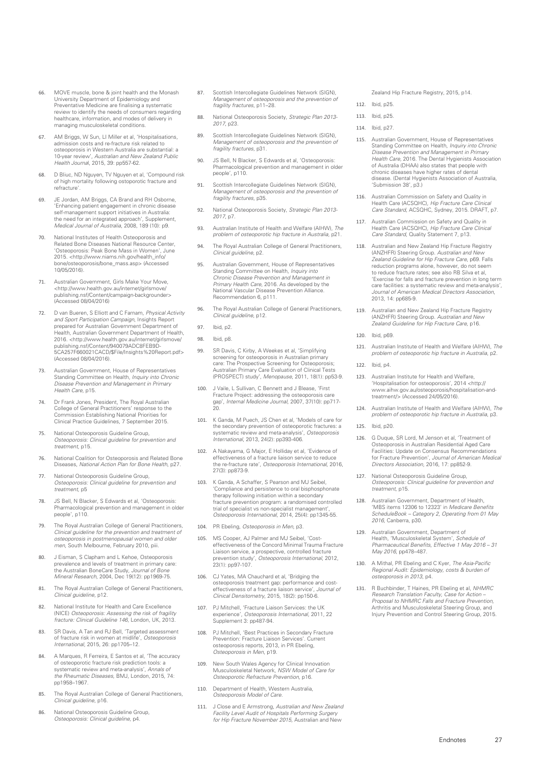- 66. MOVE muscle, bone & joint health and the Monash University Department of Epidemiology and Preventative Medicine are finalising a systematic review to identify the needs of consumers regarding healthcare, information, and modes of delivery in managing musculoskeletal conditions.
- 67. AM Briggs, W Sun, LI Miller et al, 'Hospitalisations, admission costs and re-fracture risk related to osteoporosis in Western Australia are substantial: a 10-year review', *Australian and New Zealand Public Health Journa*l, 2015, 39: pp557-62.
- 68. D Bliuc, ND Nguyen, TV Nguyen et al, 'Compound risk of high mortality following ostoporotic fracture and refracture
- 69. JE Jordan, AM Briggs, CA Brand and RH Osborne, 'Enhancing patient engagement in chronic disease self-management support initiatives in Australia: the need for an integrated approach', Supplement, *Medical Journal of Australia*, 2008, 189 (10): p9.
- 70. National Institutes of Health Osteoporosis and Related Bone Diseases National Resource Center, 'Osteoporosis: Peak Bone Mass in Women', June 2015. <http://www.niams.nih.gov/health\_info/ bone/osteoporosis/bone\_mass.asp> (Accessed 10/05/2016).
- 71. Australian Government, Girls Make Your Move, <http://www.health.gov.au/internet/girlsmove/ publishing.nsf/Content/campaign-backgrounder> (Accessed 08/04/2016)
- 72. D van Bueren, S Elliott and C Farnam, *Physical Activity and Sport Participation Campaign*, Insights Report prepared for Australian Government Department of Health, Australian Government Department of Health, 2016. <http://www.health.gov.au/internet/girlsmove/ publishing.nsf/Content/940079ADC8FEB9D-5CA257F660021CACD/\$File/Insights%20Report.pdf> (Accessed 08/04/2016).
- 73. Australian Government, House of Representatives Standing Committee on Health, *Inquiry into Chronic Disease Prevention and Management in Primary Health Care*, p15.
- 74. Dr Frank Jones, President, The Royal Australian College of General Practitioners' response to the Commission Establishing National Priorities for Clinical Practice Guidelines, 7 September 2015.
- 75. National Osteoporosis Guideline Group, *Osteoporosis: Clinical guideline for prevention and treatment*, p15.
- 76. National Coalition for Osteoporosis and Related Bone Diseases, *National Action Plan for Bone Health*, p27.
- 77. National Osteoporosis Guideline Group, *Osteoporosis: Clinical guideline for prevention and treatment*, p5
- 78. JS Bell, N Blacker, S Edwards et al, 'Osteoporosis: Pharmacological prevention and management in older people', p110.
- 79. The Royal Australian College of General Practitioners, *Clinical guideline for the prevention and treatment of osteoporosis in postmenopausal women and older men*, South Melbourne, February 2010, piii.
- 80. J Eisman, S Clapham and L Kehoe, Osteoporosis prevalence and levels of treatment in primary care: the Australian BoneCare Study, *Journal of Bone Mineral Research*, 2004, Dec 19(12): pp1969-75.
- 81. The Royal Australian College of General Practitioners, *Clinical guideline*, p12.
- 82. National Institute for Health and Care Excellence (NICE) *Osteoporosis: Assessing the risk of fragility fracture: Clinical Guideline 146*, London, UK, 2013.
- 83. SR Davis, A Tan and RJ Bell, 'Targeted assessment of fracture risk in women at midlife', *Osteoporosis International*, 2015, 26: pp1705–12.
- 84. A Marques, R Ferreira, E Santos et al, 'The accuracy of osteoporotic fracture risk prediction tools: a systematic review and meta-analysis', *Annals of the Rheumatic Diseases*, BMJ, London, 2015, 74: pp1958–1967.
- 85. The Royal Australian College of General Practitioners, *Clinical guideline*, p16.
- 86. National Osteoporosis Guideline Group, *Osteoporosis: Clinical guideline,* p4.
- 87. Scottish Intercollegiate Guidelines Network (SIGN), *Management of osteoporosis and the prevention of fragility fractures*, p11–28.
- 88. National Osteoporosis Society, *Strategic Plan 2013- 2017*, p23.
- 89. Scottish Intercollegiate Guidelines Network (SIGN), *Management of osteoporosis and the prevention of fragility fractures*, p31.
- 90. JS Bell, N Blacker, S Edwards et al, 'Osteoporosis: Pharmacological prevention and management in older people', p110.
- 91. Scottish Intercollegiate Guidelines Network (SIGN), *Management of osteoporosis and the prevention of fragility fractures*, p35.
- 92. National Osteoporosis Society, *Strategic Plan 2013- 2017*, p7.
- 93. Australian Institute of Health and Welfare (AIHW), *The problem of osteoporotic hip fracture in Australia,* p21.
- 94. The Royal Australian College of General Practitioners, *Clinical guideline*, p2.
- 95. Australian Government, House of Representatives Standing Committee on Health, *Inquiry into Chronic Disease Prevention and Management in Primary Health Care*, 2016. As developed by the National Vascular Disease Prevention Alliance. Recommendation 6, p111.
- 96. The Royal Australian College of General Practitioners, *Clinical guideline*, p12.
- 97. Ibid, p2.
- 98. Ibid, p8.
- 99. SR Davis, C Kirby, A Weekes et al, 'Simplifying screening for osteoporosis in Australian primary care: The Prospective Screening for Osteoporosis; Australian Primary Care Evaluation of Clinical Tests (PROSPECT) study', *Menopause*, 2011, 18(1): pp53-9.
- 100. J Vaile, L Sullivan, C Bennett and J Blease, 'First<br>Fracture Project: addressing the osteoporosis ca Fracture Project: addressing the osteoporosis care gap', *Internal Medicine Journal*, 2007, 37(10): pp717- 20.
- 101. K Ganda, M Puech, JS Chen et al, 'Models of care for the secondary prevention of osteoporotic fractures: a systematic review and meta-analysis', *Osteoporosis International*, 2013, 24(2): pp393-406.
- 102. A Nakayama, G Major, E Holliday et al, 'Evidence of effectiveness of a fracture liaison service to reduce the re-fracture rate', *Osteoporosis International*, 2016, 27(3): pp873-9.
- 103. K Ganda, A Schaffer, S Pearson and MJ Seibel, 'Compliance and persistence to oral bisphosphonate therapy following initiation within a secondary fracture prevention program: a randomised controlled trial of specialist vs non-specialist management', *Osteoporosis International*, 2014, 25(4): pp1345-55.
- 104. PR Ebeling, *Osteoporosis in Men*, p3.
- 105. MS Cooper, AJ Palmer and MJ Seibel, 'Costeffectiveness of the Concord Minimal Trauma Fracture Liaison service, a prospective, controlled fracture prevention study', *Osteoporosis International*, 2012, 23(1): pp97-107.
- 106. CJ Yates, MA Chauchard et al, 'Bridging the osteoporosis treatment gap: performance and cost-effectiveness of a fracture liaison service', *Journal of Clinical Densitometry*, 2015, 18(2): pp150-6.
- 107. PJ Mitchell, 'Fracture Liaison Services: the UK experience', *Osteoporosis International,* 2011, 22 Supplement 3: pp487-94.
- PJ Mitchell, 'Best Practices in Secondary Fracture Prevention: Fracture Liaison Services'. Current osteoporosis reports, 2013, in PR Ebeling, *Osteoporosis in Men*, p19.
- 109. New South Wales Agency for Clinical Innovation Musculoskeletal Network, *NSW Model of Care for Osteoporotic Refracture Prevention,* p16.
- 110. Department of Health, Western Australia, *Osteoporosis Model of Care*.
- 111. J Close and E Armstrong, *Australian and New Zealand Facility Level Audit of Hospitals Performing Surgery for Hip Fracture November 2015,* Australian and New

Zealand Hip Fracture Registry, 2015, p14.

- 112. Ibid, p25.
- 113. Ibid, p25.
- 114. Ibid, p27.
- 115. Australian Government, House of Representatives Standing Committee on Health, *Inquiry into Chronic Disease Prevention and Management in Primary Health Care*, 2016. The Dental Hygienists Association of Australia (DHAA) also states that people with chronic diseases have higher rates of dental disease. (Dental Hygienists Association of Australia, 'Submission 38', p3.)
- 116. Australian Commission on Safety and Quality in Health Care (ACSQHC), *Hip Fracture Care Clinical Care Standard*, ACSQHC, Sydney, 2015. DRAFT, p7.
- 117. Australian Commission on Safety and Quality in Health Care (ACSQHC), *Hip Fracture Care Clinical Care Standard*, Quality Statement 7, p13.
- 118. Australian and New Zealand Hip Fracture Registry (ANZHFR) Steering Group. *Australian and New Zealand Guideline for Hip Fracture Care*, p69. Falls reduction programs alone, however, do not seem to reduce fracture rates; see also RB Silva et al, 'Exercise for falls and fracture prevention in long term care facilities: a systematic review and meta-analysis', *Journal of American Medical Directors Association*, 2013, 14: pp685-9.
- 119. Australian and New Zealand Hip Fracture Registry (ANZHFR) Steering Group. *Australian and New Zealand Guideline for Hip Fracture Care,* p16.
- 120. Ibid, p69.
- 121. Australian Institute of Health and Welfare (AIHW), *The problem of osteoporotic hip fracture in Australia*, p2.
- 122. Ibid, p4.
- 123. Australian Institute for Health and Welfare 'Hospitalisation for osteoporosis', 2014 <http:// www.aihw.gov.au/osteoporosis/hospitalisation-andtreatment/> (Accessed 24/05/2016).
- 124. Australian Institute of Health and Welfare (AIHW), *The problem of osteoporotic hip fracture in Australia*, p3.
- 125. Ibid, p20.
- 126. G Duque, SR Lord, M Jenson et al, 'Treatment of Osteoporosis in Australian Residential Aged Care Facilities: Update on Consensus Recommendations for Fracture Prevention', *Journal of American Medical Directors Association*, 2016, 17: pp852-9.
- 127. National Osteoporosis Guideline Group, *Osteoporosis: Clinical guideline for prevention and treatment*, p15.
- 128. Australian Government, Department of Health, 'MBS items 12306 to 12323' in *Medicare Benefits ScheduleBook – Category 2, Operating from 01 May 2016,* Canberra, p30.
- 129. Australian Government, Department of Health, 'Musculoskeletal System', *Schedule of Pharmaceutical Benefits*, *Effective 1 May 2016 – 31 May 2016*, pp478–487.
- 130. A Mithal, PR Ebeling and C Kyer, *The Asia-Pacific Regional Audit: Epidemiology, costs & burden of osteoporosis in 2013*, p4.
- 131. R Buchbinder, T Haines, PR Ebeling et al, *NHMRC Research Translation Faculty, Case for Action – Proposal to NHMRC Falls and Fracture Prevention*, Arthritis and Musculoskeletal Steering Group, and Injury Prevention and Control Steering Group, 2015.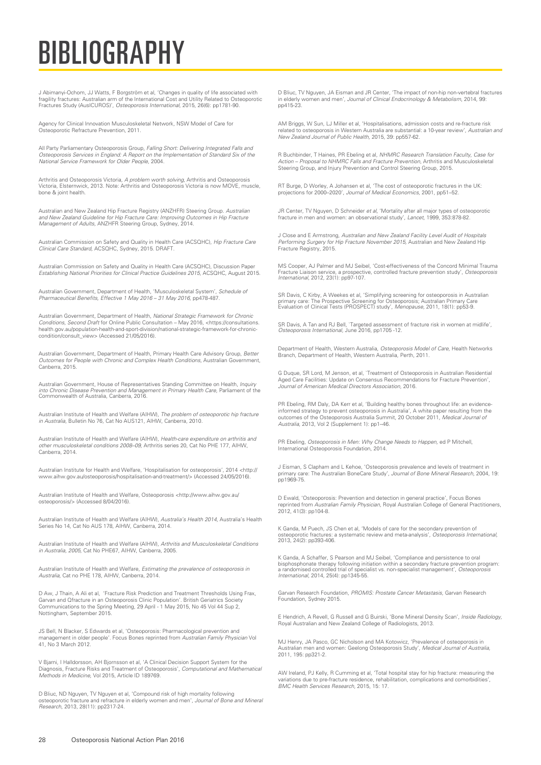### BIBLIOGRAPHY

J Abimanyi-Ochom, JJ Watts, F Borgström et al, 'Changes in quality of life associated with fragility fractures: Australian arm of the International Cost and Utility Related to Osteoporotic Fractures Study (AusICUROS)', *Osteoporosis International*, 2015, 26(6): pp1781-90.

Agency for Clinical Innovation Musculoskeletal Network, NSW Model of Care for Osteoporotic Refracture Prevention, 2011.

All Party Parliamentary Osteoporosis Group, *Falling Short: Delivering Integrated Falls and Osteoporosis Services in England: A Report on the Implementation of Standard Six of the National Service Framework for Older People*, 2004.

Arthritis and Osteoporosis Victoria, *A problem worth solving,* Arthritis and Osteoporosis<br>Victoria, Elsternwick, 2013. Note: Arthritis and Osteoporosis Victoria is now MOVE, muscle, bone & joint health.

Australian and New Zealand Hip Fracture Registry (ANZHFR) Steering Group. *Australian and New Zealand Guideline for Hip Fracture Care: Improving Outcomes in Hip Fracture Management of Adults,* ANZHFR Steering Group, Sydney, 2014.

Australian Commission on Safety and Quality in Health Care (ACSQHC), *Hip Fracture Care Clinical Care Standard,* ACSQHC, Sydney, 2015. DRAFT.

Australian Commission on Safety and Quality in Health Care (ACSQHC), Discussion Paper *Establishing National Priorities for Clinical Practice Guidelines 2015*, ACSQHC, August 2015.

Australian Government, Department of Health, 'Musculoskeletal System', *Schedule of Pharmaceutical Benefits, Effective 1 May 2016 – 31 May 2016,* pp478-487.

Australian Government, Department of Health, *National Strategic Framework for Chronic Conditions, Second Draft* for Online Public Consultation – May 2016, <https://consultations. health.gov.au/population-health-and-sport-division/national-strategic-framework-for-chroniccondition/consult\_view> (Accessed 21/05/2016).

Australian Government, Department of Health, Primary Health Care Advisory Group, *Better Outcomes for People with Chronic and Complex Health Conditions,* Australian Government, Canberra, 2015.

Australian Government, House of Representatives Standing Committee on Health, *Inquiry*<br>into Chronic Disease Prevention and Management in Primary Health Care, Parliament of the<br>Commonwealth of Australia, Canberra, 2016.

Australian Institute of Health and Welfare (AIHW), *The problem of osteoporotic hip fracture in Australia*, Bulletin No 76, Cat No AUS121, AIHW, Canberra, 2010.

Australian Institute of Health and Welfare (AIHW), *Health-care expenditure on arthritis and other musculoskeletal conditions 2008–09*, Arthritis series 20, Cat No PHE 177, AIHW, Canberra, 2014.

Australian Institute for Health and Welfare, 'Hospitalisation for osteoporosis', 2014 <http:// www.aihw.gov.au/osteoporosis/hospitalisation-and-treatment/> (Accessed 24/05/2016).

Australian Institute of Health and Welfare, Osteoporosis <http://www.aihw.gov.au/ osteoporosis/> (Accessed 8/04/2016).

Australian Institute of Health and Welfare (AIHW), *Australia's Health 2014,* Australia's Health<br>Series No 14, Cat No AUS 178, AIHW, Canberra, 2014.

Australian Institute of Health and Welfare (AIHW), *Arthritis and Musculoskeletal Conditions in Australia, 2005,* Cat No PHE67, AIHW, Canberra, 2005.

Australian Institute of Health and Welfare, *Estimating the prevalence of osteoporosis in Australia,* Cat no PHE 178, AIHW, Canberra, 2014.

D Aw, J Thain, A Ali et al, 'Fracture Risk Prediction and Treatment Thresholds Using Frax, Garvan and Qfracture in an Osteoporosis Clinic Population'. British Geriatrics Society Communications to the Spring Meeting, 29 April - 1 May 2015, No 45 Vol 44 Sup 2, Nottingham, September 2015.

JS Bell, N Blacker, S Edwards et al, 'Osteoporosis: Pharmacological prevention and management in older people'. Focus Bones reprinted from *Australian Family Physician* Vol 41, No 3 March 2012.

V Bjarni, I Halldorsson, AH Bjornsson et al, 'A Clinical Decision Support System for the Diagnosis, Fracture Risks and Treatment of Osteoporosis', *Computational and Mathematical Methods in Medicine,* Vol 2015, Article ID 189769.

D Bliuc, ND Nguyen, TV Nguyen et al, 'Compound risk of high mortality following osteoporotic fracture and refracture in elderly women and men', *Journal of Bone and Mineral Research,* 2013, 28(11): pp2317-24. D Bliuc, TV Nguyen, JA Eisman and JR Center, 'The impact of non-hip non-vertebral fractures in elderly women and men', *Journal of Clinical Endocrinology & Metabolism*, 2014, 99: pp415-23.

AM Briggs, W Sun, LJ Miller et al, 'Hospitalisations, admission costs and re-fracture risk related to osteoporosis in Western Australia are substantial: a 10-year review', *Australian and New Zealand Journal of Public Health,* 2015, 39: pp557-62.

R Buchbinder, T Haines, PR Ebeling et al, *NHMRC Research Translation Faculty, Case for Action – Proposal to NHMRC Falls and Fracture Prevention*, Arthritis and Musculoskeletal Steering Group, and Injury Prevention and Control Steering Group, 2015.

RT Burge, D Worley, A Johansen et al, 'The cost of osteoporotic fractures in the UK: projections for 2000–2020', *Journal of Medical Economics*, 2001, pp51–52.

JR Center, TV Nguyen, D Schneider *et al,* 'Mortality after all major types of osteoporotic fracture in men and women: an observational study', *Lancet,* 1999, 353:878-82.

J Close and E Armstrong, *Australian and New Zealand Facility Level Audit of Hospitals Performing Surgery for Hip Fracture November 2015,* Australian and New Zealand Hip Fracture Registry, 2015.

MS Cooper, AJ Palmer and MJ Seibel, 'Cost-effectiveness of the Concord Minimal Trauma<br>Fracture Liaison service, a prospective, controlled fracture prevention study', *Osteoporosis*<br>*International,* 2012, 23(1): pp97-107.

SR Davis, C Kirby, A Weekes et al, 'Simplifying screening for osteoporosis in Australian primary care: The Prospective Screening for Osteoporosis; Australian Primary Care Evaluation of Clinical Tests (PROSPECT) study', *Menopause,* 2011, 18(1): pp53-9.

SR Davis, A Tan and RJ Bell, `Targeted assessment of fracture risk in women at midlife', *Osteoporosis International*, June 2016, pp1705 -12.

Department of Health, Western Australia, *Osteoporosis Model of Care*, Health Networks Branch, Department of Health, Western Australia, Perth, 2011.

G Duque, SR Lord, M Jenson, et al, `Treatment of Osteoporosis in Australian Residential Aged Care Facilities: Update on Consensus Recommendations for Fracture Prevention', *Journal of American Medical Directors Association*, 2016.

PR Ebeling, RM Daly, DA Kerr et al, 'Building healthy bones throughout life: an evidence-informed strategy to prevent osteoporosis in Australia', A white paper resulting from the outcomes of the Osteoporosis Australia Summit, 20 October 2011, *Medical Journal of Australia,* 2013, Vol 2 (Supplement 1): pp1–46.

PR Ebeling, *Osteoporosis in Men: Why Change Needs to Happen,* ed P Mitchell, International Osteoporosis Foundation, 2014.

J Eisman, S Clapham and L Kehoe, 'Osteoporosis prevalence and levels of treatment in primary care: The Australian BoneCare Study', *Journal of Bone Mineral Research,* 2004, 19: pp1969-75.

D Ewald, 'Osteoporosis: Prevention and detection in general practice', Focus Bones reprinted from *Australian Family Physician*, Royal Australian College of General Practitioners, 2012, 41(3): pp104-8.

K Ganda, M Puech, JS Chen et al, 'Models of care for the secondary prevention of<br>osteoporotic fractures: a systematic review and meta-analysis', *Osteoporosis International,*<br>2013, 24(2): pp393-406.

K Ganda, A Schaffer, S Pearson and MJ Seibel, 'Compliance and persistence to oral<br>bisphosphonate therapy following initiation within a secondary fracture prevention program:<br>a randomised controlled trial of specialist vs. *International,* 2014, 25(4): pp1345-55.

Garvan Research Foundation, *PROMIS: Prostate Cancer Metastasis*, Garvan Research Foundation, Sydney 2015.

E Hendrich, A Revell, G Russell and G Buirski, 'Bone Mineral Density Scan', *Inside Radiology,*  Royal Australian and New Zealand College of Radiologists, 2013.

MJ Henry, JA Pasco, GC Nicholson and MA Kotowicz, 'Prevalence of osteoporosis in Australian men and women: Geelong Osteoporosis Study', *Medical Journal of Australia,*  2011, 195: pp321-2.

AW Ireland, PJ Kelly, R Cumming et al, 'Total hospital stay for hip fracture: measuring the variations due to pre-fracture residence, rehabilitation, complications and comorbidities', *BMC Health Services Research*, 2015, 15: 17.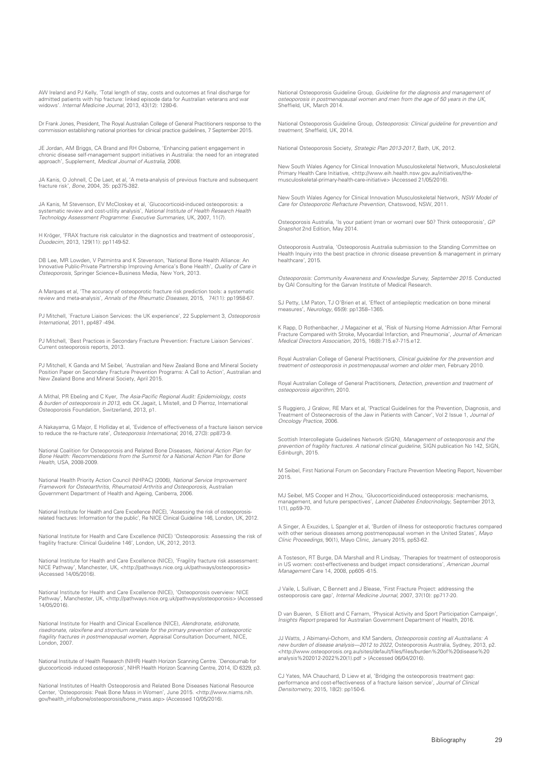AW Ireland and PJ Kelly, 'Total length of stay, costs and outcomes at final discharge for admitted patients with hip fracture: linked episode data for Australian veterans and war widows'. *Internal Medicine Journal,* 2013, 43(12): 1280-6.

Dr Frank Jones, President, The Royal Australian College of General Practitioners response to the commission establishing national priorities for clinical practice guidelines, 7 September 2015.

JE Jordan, AM Briggs, CA Brand and RH Osborne, 'Enhancing patient engagement in chronic disease self-management support initiatives in Australia: the need for an integrated approach', Supplement, *Medical Journal of Australia*, 2008.

JA Kanis, O Johnell, C De Laet, et al, 'A meta-analysis of previous fracture and subsequent fracture risk', *Bone*, 2004, 35: pp375-382.

JA Kanis, M Stevenson, EV McCloskey et al, `Glucocorticoid-induced osteoporosis: a systematic review and cost-utility analysis', *National Institute of Health Research Health Technology Assessment Programme: Executive Summaries,* UK, 2007, 11(7).

H Kröger, 'FRAX fracture risk calculator in the diagnostics and treatment of osteoporosis', *Duodecim,* 2013, 129(11): pp1149-52.

DB Lee, MR Lowden, V Patmintra and K Stevenson, 'National Bone Health Alliance: An Innovative Public-Private Partnership Improving America's Bone Health', *Quality of Care in Osteoporosis*, Springer Science+Business Media, New York, 2013.

A Marques et al, 'The accuracy of osteoporotic fracture risk prediction tools: a systematic review and meta-analysis', *Annals of the Rheumatic Diseases,* 2015, 74(11): pp1958-67.

PJ Mitchell, `Fracture Liaison Services: the UK experience', 22 Supplement 3, *Osteoporosis International,* 2011, pp487 -494.

PJ Mitchell, `Best Practices in Secondary Fracture Prevention: Fracture Liaison Services'. Current osteoporosis reports, 2013.

PJ Mitchell, K Ganda and M Seibel, 'Australian and New Zealand Bone and Mineral Society Position Paper on Secondary Fracture Prevention Programs: A Call to Action', Australian and New Zealand Bone and Mineral Society, April 2015.

A Mithal, PR Ebeling and C Kyer, *The Asia-Pacific Regional Audit: Epidemiology, costs & burden of osteoporosis in 2013,* eds CK Jagait, L Mistell, and D Pierroz, International Osteoporosis Foundation, Switzerland, 2013, p1.

A Nakayama, G Major, E Holliday et al, 'Evidence of effectiveness of a fracture liaison service to reduce the re-fracture rate', *Osteoporosis International,* 2016, 27(3): pp873-9.

National Coalition for Osteoporosis and Related Bone Diseases, *National Action Plan for Bone Health: Recommendations from the Summit for a National Action Plan for Bone Health,* USA, 2008-2009.

National Health Priority Action Council (NHPAC) (2006), *National Service Improvement Framework for Osteoarthritis, Rheumatoid Arthritis and Osteoporosis*, Australian Government Department of Health and Ageing, Canberra, 2006.

National Institute for Health and Care Excellence (NICE), 'Assessing the risk of osteoporosis-related fractures: Information for the public', Re NICE Clinical Guideline 146, London, UK, 2012.

National Institute for Health and Care Excellence (NICE) 'Osteoporosis: Assessing the risk of fragility fracture: Clinical Guideline 146', London, UK, 2012, 2013.

National Institute for Health and Care Excellence (NICE), 'Fragility fracture risk assessment: NICE Pathway', Manchester, UK, <http://pathways.nice.org.uk/pathways/osteoporosis> (Accessed 14/05/2016).

National Institute for Health and Care Excellence (NICE), 'Osteoporosis overview: NICE Pathway', Manchester, UK, <http://pathways.nice.org.uk/pathways/osteoporosis> (Accessed 14/05/2016).

National Institute for Health and Clinical Excellence (NICE), *Alendronate, etidronate, risedronate, raloxifene and strontium ranelate for the primary prevention of osteoporotic fragility fractures in postmenopausal women*, Appraisal Consultation Document, NICE, London, 2007.

National Institute of Health Research (NIHR) Health Horizon Scanning Centre. `Denosumab for glucocorticoid- induced osteoporosis', NIHR Health Horizon Scanning Centre, 2014, ID 6329, p3.

National Institutes of Health Osteoporosis and Related Bone Diseases National Resource Center, 'Osteoporosis: Peak Bone Mass in Women', June 2015. <http://www.niams.nih. gov/health\_info/bone/osteoporosis/bone\_mass.asp> (Accessed 10/05/2016).

National Osteoporosis Guideline Group, *Guideline for the diagnosis and management of osteoporosis in postmenopausal women and men from the age of 50 years in the UK,*  Sheffield, UK, March 2014.

National Osteoporosis Guideline Group, *Osteoporosis: Clinical guideline for prevention and treatment,* Sheffield, UK, 2014.

National Osteoporosis Society, *Strategic Plan 2013-2017,* Bath, UK, 2012.

New South Wales Agency for Clinical Innovation Musculoskeletal Network, Musculoskeletal Primary Health Care Initiative, <http://www.eih.health.nsw.gov.au/initiatives/themusculoskeletal-primary-health-care-initiative> (Accessed 21/05/2016).

New South Wales Agency for Clinical Innovation Musculoskeletal Network, *NSW Model of Care for Osteoporotic Refracture Prevention,* Chatswood, NSW, 2011.

Osteoporosis Australia, 'Is your patient (man or woman) over 50? Think osteoporosis', *GP Snapshot* 2nd Edition, May 2014.

Osteoporosis Australia, 'Osteoporosis Australia submission to the Standing Committee on Health Inquiry into the best practice in chronic disease prevention & management in primary healthcare', 2015.

*Osteoporosis: Community Awareness and Knowledge Survey, September 2015.* Conducted by QAI Consulting for the Garvan Institute of Medical Research.

SJ Petty, LM Paton, TJ O'Brien et al, 'Effect of antiepileptic medication on bone mineral measures', *Neurology*, 65(9): pp1358–1365.

K Rapp, D Rothenbacher, J Magaziner et al, 'Risk of Nursing Home Admission After Femoral Fracture Compared with Stroke, Myocardial Infarction, and Pneumonia', *Journal of American Medical Directors Association,* 2015, 16(8):715.e7-715.e12.

Royal Australian College of General Practitioners, *Clinical guideline for the prevention and treatment of osteoporosis in postmenopausal women and older men*, February 2010.

Royal Australian College of General Practitioners, *Detection, prevention and treatment of osteoporosis algorithm,* 2010.

S Ruggiero, J Gralow, RE Marx et al, 'Practical Guidelines for the Prevention, Diagnosis, and Treatment of Osteonecrosis of the Jaw in Patients with Cancer', Vol 2 Issue 1, *Journal of Oncology Practice,* 2006.

Scottish Intercollegiate Guidelines Network (SIGN), *Management of osteoporosis and the prevention of fragility fractures. A national clinical guideline,* SIGN publication No 142, SIGN, Edinburgh, 2015.

M Seibel, First National Forum on Secondary Fracture Prevention Meeting Report, November 2015.

MJ Seibel, MS Cooper and H Zhou, `Glucocorticoidinduced osteoporosis: mechanisms, management, and future perspectives', *Lancet Diabetes Endocrinology,* September 2013,  $1(1)$ , pp $59-70$ .

A Singer, A Exuzides, L Spangler et al, 'Burden of illness for osteoporotic fractures compared with other serious diseases among postmenopausal women in the United States', *Mayo Clinic Proceedings*, 90(1), Mayo Clinic, January 2015, pp53-62.

A Tosteson, RT Burge, DA Marshall and R Lindsay, `Therapies for treatment of osteoporosis in US women: cost-effectiveness and budget impact considerations', *American Journal Management* Care 14, 2008, pp605 -615.

J Vaile, L Sullivan, C Bennett and J Blease, 'First Fracture Project: addressing the osteoporosis care gap', *Internal Medicine Journal,* 2007, 37(10): pp717-20.

D van Bueren, S Elliott and C Farnam, 'Physical Activity and Sport Participation Campaign', *Insights Report* prepared for Australian Government Department of Health, 2016.

JJ Watts, J Abimanyi-Ochom, and KM Sanders, *Osteoporosis costing all Australians: A new burden of disease analysis—2012 to 2022*, Osteoporosis Australia, Sydney, 2013, p2. <http://www.osteoporosis.org.au/sites/default/files/files/burden%20of%20disease%20 analysis%202012-2022%20(1).pdf > (Accessed 06/04/2016).

CJ Yates, MA Chauchard, D Liew et al, 'Bridging the osteoporosis treatment gap: performance and cost-effectiveness of a fracture liaison service', *Journal of Clinical Densitometry*, 2015, 18(2): pp150-6.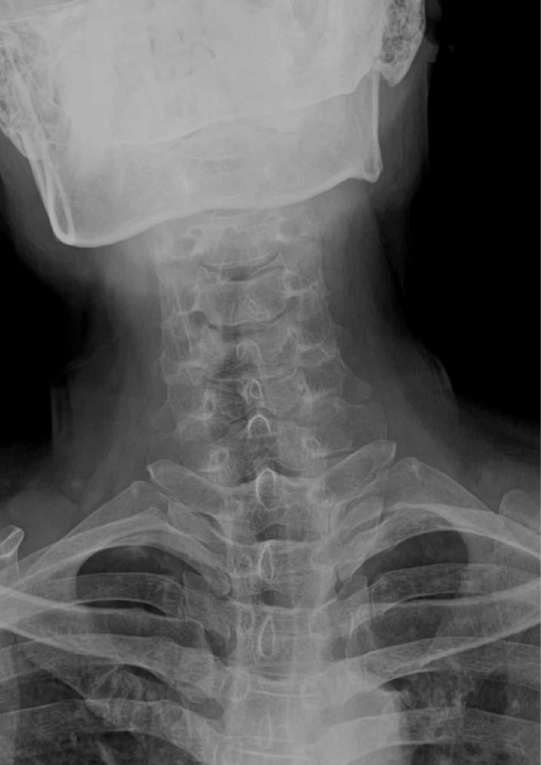